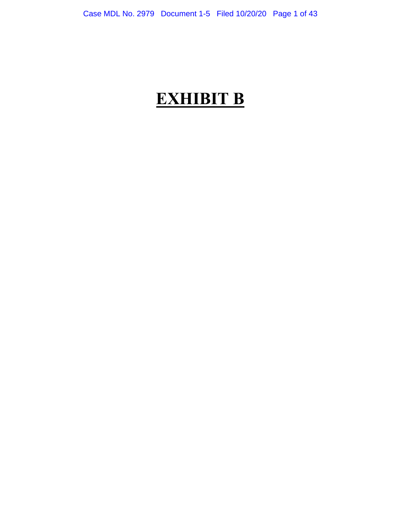# **EXHIBIT B**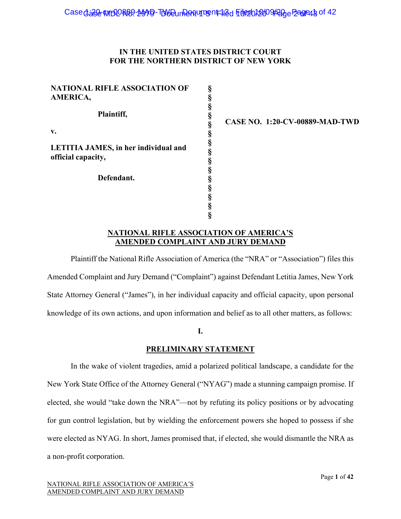#### **IN THE UNITED STATES DISTRICT COURT FOR THE NORTHERN DISTRICT OF NEW YORK**

**§ § § § § § § § § § § § § § §** 

| NATIONAL RIFLE ASSOCIATION OF<br>AMERICA,                  |
|------------------------------------------------------------|
| Plaintiff,                                                 |
| v.                                                         |
| LETITIA JAMES, in her individual and<br>official capacity, |
| Defendant.                                                 |
|                                                            |

**CASE NO. 1:20-CV-00889-MAD-TWD** 

#### **NATIONAL RIFLE ASSOCIATION OF AMERICA'S AMENDED COMPLAINT AND JURY DEMAND**

Plaintiff the National Rifle Association of America (the "NRA" or "Association") files this Amended Complaint and Jury Demand ("Complaint") against Defendant Letitia James, New York State Attorney General ("James"), in her individual capacity and official capacity, upon personal knowledge of its own actions, and upon information and belief as to all other matters, as follows:

#### **I.**

#### **PRELIMINARY STATEMENT**

In the wake of violent tragedies, amid a polarized political landscape, a candidate for the New York State Office of the Attorney General ("NYAG") made a stunning campaign promise. If elected, she would "take down the NRA"—not by refuting its policy positions or by advocating for gun control legislation, but by wielding the enforcement powers she hoped to possess if she were elected as NYAG. In short, James promised that, if elected, she would dismantle the NRA as a non-profit corporation.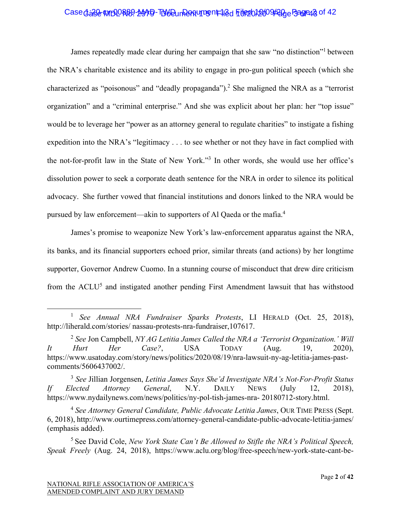# Case dase WIDDR89-MAD-TUVDun Pantument 12d File2012009 Page Bagrea 3 of 42

James repeatedly made clear during her campaign that she saw "no distinction"1 between the NRA's charitable existence and its ability to engage in pro-gun political speech (which she characterized as "poisonous" and "deadly propaganda").<sup>2</sup> She maligned the NRA as a "terrorist organization" and a "criminal enterprise." And she was explicit about her plan: her "top issue" would be to leverage her "power as an attorney general to regulate charities" to instigate a fishing expedition into the NRA's "legitimacy . . . to see whether or not they have in fact complied with the not-for-profit law in the State of New York."<sup>3</sup> In other words, she would use her office's dissolution power to seek a corporate death sentence for the NRA in order to silence its political advocacy. She further vowed that financial institutions and donors linked to the NRA would be pursued by law enforcement—akin to supporters of Al Qaeda or the mafia.4

James's promise to weaponize New York's law-enforcement apparatus against the NRA, its banks, and its financial supporters echoed prior, similar threats (and actions) by her longtime supporter, Governor Andrew Cuomo. In a stunning course of misconduct that drew dire criticism from the ACLU<sup>5</sup> and instigated another pending First Amendment lawsuit that has withstood

<sup>1</sup>  *See Annual NRA Fundraiser Sparks Protests*, LI HERALD (Oct. 25, 2018), http://liherald.com/stories/ nassau-protests-nra-fundraiser,107617.

<sup>2</sup> *See* Jon Campbell, *NY AG Letitia James Called the NRA a 'Terrorist Organization.' Will It Hurt Her Case?*, USA TODAY (Aug. 19, 2020), https://www.usatoday.com/story/news/politics/2020/08/19/nra-lawsuit-ny-ag-letitia-james-pastcomments/5606437002/.

<sup>3</sup> *See* Jillian Jorgensen, *Letitia James Says She'd Investigate NRA's Not-For-Profit Status If Elected Attorney General*, N.Y. DAILY NEWS (July 12, 2018), https://www.nydailynews.com/news/politics/ny-pol-tish-james-nra- 20180712-story.html.

<sup>4</sup> *See Attorney General Candidate, Public Advocate Letitia James*, OUR TIME PRESS (Sept. 6, 2018), http://www.ourtimepress.com/attorney-general-candidate-public-advocate-letitia-james/ (emphasis added).

<sup>5</sup> See David Cole, *New York State Can't Be Allowed to Stifle the NRA's Political Speech, Speak Freely* (Aug. 24, 2018), https://www.aclu.org/blog/free-speech/new-york-state-cant-be-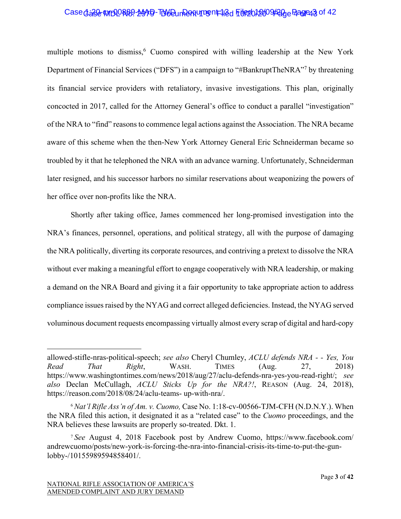# Case d: 200889-2049-TUV Dun Pantument 12d Full 2009 Page 23 of 42

multiple motions to dismiss,<sup>6</sup> Cuomo conspired with willing leadership at the New York Department of Financial Services ("DFS") in a campaign to "#BankruptTheNRA"<sup>7</sup> by threatening its financial service providers with retaliatory, invasive investigations. This plan, originally concocted in 2017, called for the Attorney General's office to conduct a parallel "investigation" of the NRA to "find" reasons to commence legal actions against the Association. The NRA became aware of this scheme when the then-New York Attorney General Eric Schneiderman became so troubled by it that he telephoned the NRA with an advance warning. Unfortunately, Schneiderman later resigned, and his successor harbors no similar reservations about weaponizing the powers of her office over non-profits like the NRA.

Shortly after taking office, James commenced her long-promised investigation into the NRA's finances, personnel, operations, and political strategy, all with the purpose of damaging the NRA politically, diverting its corporate resources, and contriving a pretext to dissolve the NRA without ever making a meaningful effort to engage cooperatively with NRA leadership, or making a demand on the NRA Board and giving it a fair opportunity to take appropriate action to address compliance issues raised by the NYAG and correct alleged deficiencies. Instead, the NYAG served voluminous document requests encompassing virtually almost every scrap of digital and hard-copy

allowed-stifle-nras-political-speech; *see also* Cheryl Chumley, *ACLU defends NRA - - Yes, You Read That Right*, WASH. TIMES (Aug. 27, 2018) https://www.washingtontimes.com/news/2018/aug/27/aclu-defends-nra-yes-you-read-right/; *see also* Declan McCullagh, *ACLU Sticks Up for the NRA?!*, REASON (Aug. 24, 2018), https://reason.com/2018/08/24/aclu-teams- up-with-nra/.

<sup>6</sup> *Nat'l Rifle Ass'n of Am. v. Cuomo,* Case No. 1:18-cv-00566-TJM-CFH (N.D.N.Y.). When the NRA filed this action, it designated it as a "related case" to the *Cuomo* proceedings, and the NRA believes these lawsuits are properly so-treated. Dkt. 1.

<sup>7</sup> *See* August 4, 2018 Facebook post by Andrew Cuomo, https://www.facebook.com/ andrewcuomo/posts/new-york-is-forcing-the-nra-into-financial-crisis-its-time-to-put-the-gunlobby-/10155989594858401/.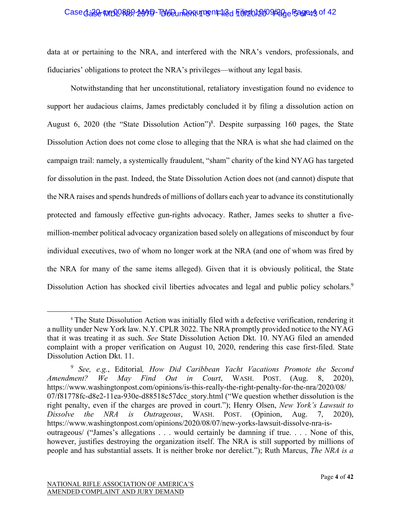#### Case dase WIDORB9-MAPD-TUVE Un Rentument 18 G File 2012 009/200 Page 4 of 42

data at or pertaining to the NRA, and interfered with the NRA's vendors, professionals, and fiduciaries' obligations to protect the NRA's privileges—without any legal basis.

Notwithstanding that her unconstitutional, retaliatory investigation found no evidence to support her audacious claims, James predictably concluded it by filing a dissolution action on August 6, 2020 (the "State Dissolution Action")<sup>8</sup>. Despite surpassing 160 pages, the State Dissolution Action does not come close to alleging that the NRA is what she had claimed on the campaign trail: namely, a systemically fraudulent, "sham" charity of the kind NYAG has targeted for dissolution in the past. Indeed, the State Dissolution Action does not (and cannot) dispute that the NRA raises and spends hundreds of millions of dollars each year to advance its constitutionally protected and famously effective gun-rights advocacy. Rather, James seeks to shutter a fivemillion-member political advocacy organization based solely on allegations of misconduct by four individual executives, two of whom no longer work at the NRA (and one of whom was fired by the NRA for many of the same items alleged). Given that it is obviously political, the State Dissolution Action has shocked civil liberties advocates and legal and public policy scholars.<sup>9</sup>

<sup>&</sup>lt;sup>8</sup> The State Dissolution Action was initially filed with a defective verification, rendering it a nullity under New York law. N.Y. CPLR 3022. The NRA promptly provided notice to the NYAG that it was treating it as such. *See* State Dissolution Action Dkt. 10. NYAG filed an amended complaint with a proper verification on August 10, 2020, rendering this case first-filed. State Dissolution Action Dkt. 11.

<sup>9</sup> *See, e.g.*, Editorial*, How Did Caribbean Yacht Vacations Promote the Second Amendment? We May Find Out in Court*, WASH. POST. (Aug. 8, 2020), https://www.washingtonpost.com/opinions/is-this-really-the-right-penalty-for-the-nra/2020/08/ 07/f81778fc-d8e2-11ea-930e-d88518c57dcc\_story.html ("We question whether dissolution is the right penalty, even if the charges are proved in court."); Henry Olsen, *New York's Lawsuit to Dissolve the NRA is Outrageous*, WASH. POST. (Opinion, Aug. 7, 2020), https://www.washingtonpost.com/opinions/2020/08/07/new-yorks-lawsuit-dissolve-nra-isoutrageous/ ("James's allegations . . . would certainly be damning if true. . . . None of this, however, justifies destroying the organization itself. The NRA is still supported by millions of people and has substantial assets. It is neither broke nor derelict."); Ruth Marcus, *The NRA is a*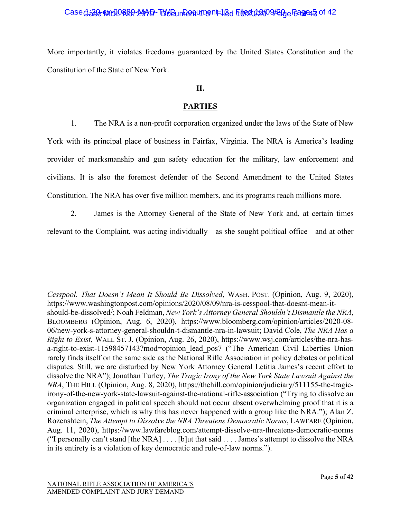#### Case dase MBLOR89-2049-TDVOunDent 112d File2012009 Page Fagre 5 of 42

More importantly, it violates freedoms guaranteed by the United States Constitution and the Constitution of the State of New York.

#### **II.**

## **PARTIES**

1. The NRA is a non-profit corporation organized under the laws of the State of New York with its principal place of business in Fairfax, Virginia. The NRA is America's leading provider of marksmanship and gun safety education for the military, law enforcement and civilians. It is also the foremost defender of the Second Amendment to the United States Constitution. The NRA has over five million members, and its programs reach millions more.

2. James is the Attorney General of the State of New York and, at certain times

relevant to the Complaint, was acting individually—as she sought political office—and at other

*Cesspool. That Doesn't Mean It Should Be Dissolved*, WASH. POST. (Opinion, Aug. 9, 2020), https://www.washingtonpost.com/opinions/2020/08/09/nra-is-cesspool-that-doesnt-mean-itshould-be-dissolved/; Noah Feldman, *New York's Attorney General Shouldn't Dismantle the NRA*, BLOOMBERG (Opinion, Aug. 6, 2020), https://www.bloomberg.com/opinion/articles/2020-08- 06/new-york-s-attorney-general-shouldn-t-dismantle-nra-in-lawsuit; David Cole, *The NRA Has a Right to Exist*, WALL ST. J. (Opinion, Aug. 26, 2020), https://www.wsj.com/articles/the-nra-hasa-right-to-exist-11598457143?mod=opinion lead pos7 ("The American Civil Liberties Union rarely finds itself on the same side as the National Rifle Association in policy debates or political disputes. Still, we are disturbed by New York Attorney General Letitia James's recent effort to dissolve the NRA"); Jonathan Turley, *The Tragic Irony of the New York State Lawsuit Against the NRA*, THE HILL (Opinion, Aug. 8, 2020), https://thehill.com/opinion/judiciary/511155-the-tragicirony-of-the-new-york-state-lawsuit-against-the-national-rifle-association ("Trying to dissolve an organization engaged in political speech should not occur absent overwhelming proof that it is a criminal enterprise, which is why this has never happened with a group like the NRA."); Alan Z. Rozenshtein, *The Attempt to Dissolve the NRA Threatens Democratic Norms*, LAWFARE (Opinion, Aug. 11, 2020), https://www.lawfareblog.com/attempt-dissolve-nra-threatens-democratic-norms ("I personally can't stand [the NRA]  $\dots$  [b] ut that said  $\dots$  James's attempt to dissolve the NRA in its entirety is a violation of key democratic and rule-of-law norms.").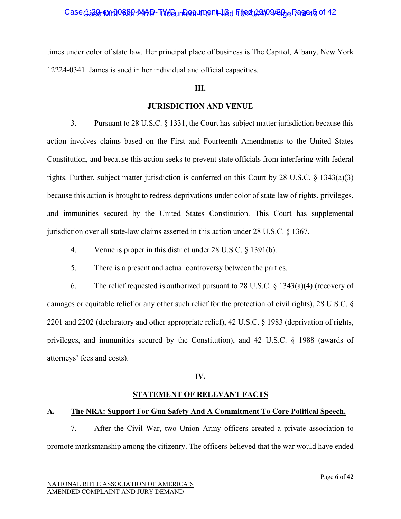## Case dase WIDORB9-MAD-TUVE un Partument 12d File2012009 Page Pagre 9 of 42

times under color of state law. Her principal place of business is The Capitol, Albany, New York 12224-0341. James is sued in her individual and official capacities.

#### **III.**

#### **JURISDICTION AND VENUE**

3. Pursuant to 28 U.S.C. § 1331, the Court has subject matter jurisdiction because this action involves claims based on the First and Fourteenth Amendments to the United States Constitution, and because this action seeks to prevent state officials from interfering with federal rights. Further, subject matter jurisdiction is conferred on this Court by 28 U.S.C. § 1343(a)(3) because this action is brought to redress deprivations under color of state law of rights, privileges, and immunities secured by the United States Constitution. This Court has supplemental jurisdiction over all state-law claims asserted in this action under 28 U.S.C. § 1367.

- 4. Venue is proper in this district under 28 U.S.C. § 1391(b).
- 5. There is a present and actual controversy between the parties.

6. The relief requested is authorized pursuant to 28 U.S.C.  $\S$  1343(a)(4) (recovery of damages or equitable relief or any other such relief for the protection of civil rights), 28 U.S.C. § 2201 and 2202 (declaratory and other appropriate relief), 42 U.S.C. § 1983 (deprivation of rights, privileges, and immunities secured by the Constitution), and 42 U.S.C. § 1988 (awards of attorneys' fees and costs).

#### **IV.**

#### **STATEMENT OF RELEVANT FACTS**

#### **A. The NRA: Support For Gun Safety And A Commitment To Core Political Speech.**

7. After the Civil War, two Union Army officers created a private association to promote marksmanship among the citizenry. The officers believed that the war would have ended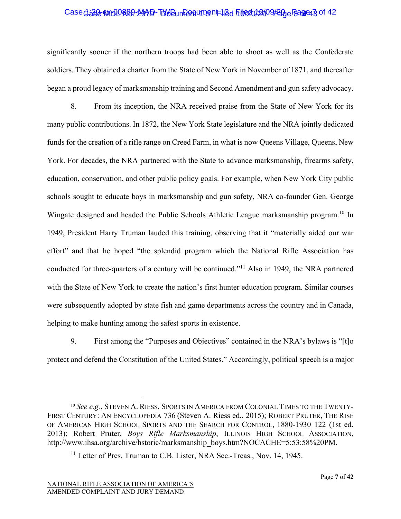# Case dase WIDORB9-MAD-TUW Dun Partument 12d File2012009 Page Bagrey 3 of 42

significantly sooner if the northern troops had been able to shoot as well as the Confederate soldiers. They obtained a charter from the State of New York in November of 1871, and thereafter began a proud legacy of marksmanship training and Second Amendment and gun safety advocacy.

8. From its inception, the NRA received praise from the State of New York for its many public contributions. In 1872, the New York State legislature and the NRA jointly dedicated funds for the creation of a rifle range on Creed Farm, in what is now Queens Village, Queens, New York. For decades, the NRA partnered with the State to advance marksmanship, firearms safety, education, conservation, and other public policy goals. For example, when New York City public schools sought to educate boys in marksmanship and gun safety, NRA co-founder Gen. George Wingate designed and headed the Public Schools Athletic League marksmanship program.10 In 1949, President Harry Truman lauded this training, observing that it "materially aided our war effort" and that he hoped "the splendid program which the National Rifle Association has conducted for three-quarters of a century will be continued."11 Also in 1949, the NRA partnered with the State of New York to create the nation's first hunter education program. Similar courses were subsequently adopted by state fish and game departments across the country and in Canada, helping to make hunting among the safest sports in existence.

9. First among the "Purposes and Objectives" contained in the NRA's bylaws is "[t]o protect and defend the Constitution of the United States." Accordingly, political speech is a major

<sup>10</sup> *See e.g.*, STEVEN A. RIESS, SPORTS IN AMERICA FROM COLONIAL TIMES TO THE TWENTY-FIRST CENTURY: AN ENCYCLOPEDIA 736 (Steven A. Riess ed., 2015); ROBERT PRUTER, THE RISE OF AMERICAN HIGH SCHOOL SPORTS AND THE SEARCH FOR CONTROL, 1880-1930 122 (1st ed. 2013); Robert Pruter, *Boys Rifle Marksmanship*, ILLINOIS HIGH SCHOOL ASSOCIATION, http://www.ihsa.org/archive/hstoric/marksmanship\_boys.htm?NOCACHE=5:53:58%20PM.

<sup>&</sup>lt;sup>11</sup> Letter of Pres. Truman to C.B. Lister, NRA Sec.-Treas., Nov. 14, 1945.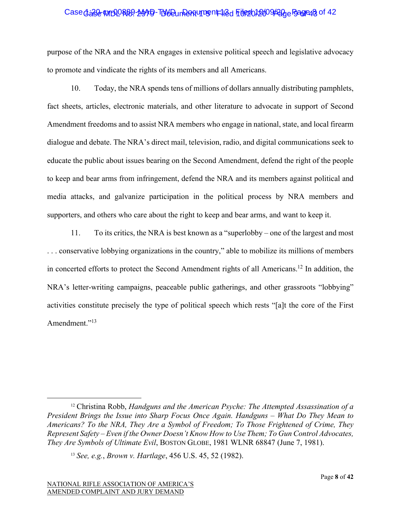#### Case dase WIDORB9-MAD-TUVE Un Partument 12d File 2012 009 Page Bagreas of 42

purpose of the NRA and the NRA engages in extensive political speech and legislative advocacy to promote and vindicate the rights of its members and all Americans.

10. Today, the NRA spends tens of millions of dollars annually distributing pamphlets, fact sheets, articles, electronic materials, and other literature to advocate in support of Second Amendment freedoms and to assist NRA members who engage in national, state, and local firearm dialogue and debate. The NRA's direct mail, television, radio, and digital communications seek to educate the public about issues bearing on the Second Amendment, defend the right of the people to keep and bear arms from infringement, defend the NRA and its members against political and media attacks, and galvanize participation in the political process by NRA members and supporters, and others who care about the right to keep and bear arms, and want to keep it.

11. To its critics, the NRA is best known as a "superlobby – one of the largest and most . . . conservative lobbying organizations in the country," able to mobilize its millions of members in concerted efforts to protect the Second Amendment rights of all Americans.12 In addition, the NRA's letter-writing campaigns, peaceable public gatherings, and other grassroots "lobbying" activities constitute precisely the type of political speech which rests "[a]t the core of the First Amendment."<sup>13</sup>

<sup>&</sup>lt;sup>12</sup> Christina Robb, *Handguns and the American Psyche: The Attempted Assassination of a President Brings the Issue into Sharp Focus Once Again. Handguns – What Do They Mean to Americans? To the NRA, They Are a Symbol of Freedom; To Those Frightened of Crime, They Represent Safety – Even if the Owner Doesn't Know How to Use Them; To Gun Control Advocates, They Are Symbols of Ultimate Evil*, BOSTON GLOBE, 1981 WLNR 68847 (June 7, 1981).

<sup>13</sup> *See, e.g.*, *Brown v. Hartlage*, 456 U.S. 45, 52 (1982).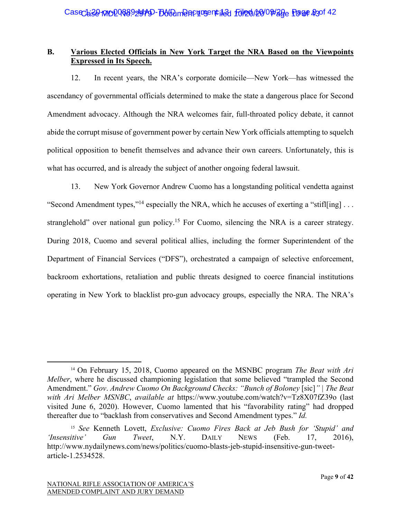# **B. Various Elected Officials in New York Target the NRA Based on the Viewpoints Expressed in Its Speech.**

12. In recent years, the NRA's corporate domicile—New York—has witnessed the ascendancy of governmental officials determined to make the state a dangerous place for Second Amendment advocacy. Although the NRA welcomes fair, full-throated policy debate, it cannot abide the corrupt misuse of government power by certain New York officials attempting to squelch political opposition to benefit themselves and advance their own careers. Unfortunately, this is what has occurred, and is already the subject of another ongoing federal lawsuit.

13. New York Governor Andrew Cuomo has a longstanding political vendetta against "Second Amendment types,"<sup>14</sup> especially the NRA, which he accuses of exerting a "stifl[ing] ... stranglehold" over national gun policy.<sup>15</sup> For Cuomo, silencing the NRA is a career strategy. During 2018, Cuomo and several political allies, including the former Superintendent of the Department of Financial Services ("DFS"), orchestrated a campaign of selective enforcement, backroom exhortations, retaliation and public threats designed to coerce financial institutions operating in New York to blacklist pro-gun advocacy groups, especially the NRA. The NRA's

<sup>14</sup> On February 15, 2018, Cuomo appeared on the MSNBC program *The Beat with Ari Melber*, where he discussed championing legislation that some believed "trampled the Second Amendment." *Gov*. *Andrew Cuomo On Background Checks: "Bunch of Boloney* [sic]*" | The Beat with Ari Melber MSNBC*, *available at* https://www.youtube.com/watch?v=Tz8X07fZ39o (last visited June 6, 2020). However, Cuomo lamented that his "favorability rating" had dropped thereafter due to "backlash from conservatives and Second Amendment types." *Id.*

<sup>15</sup> *See* Kenneth Lovett, *Exclusive: Cuomo Fires Back at Jeb Bush for 'Stupid' and 'Insensitive' Gun Tweet*, N.Y. DAILY NEWS (Feb. 17, 2016), http://www.nydailynews.com/news/politics/cuomo-blasts-jeb-stupid-insensitive-gun-tweetarticle-1.2534528.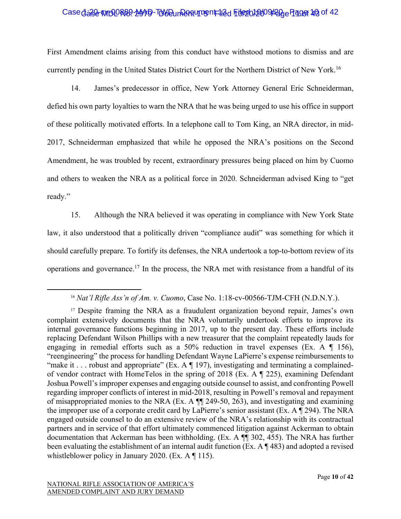# Case dase WIDDR89-MAD-TUW Dun Rentument 12d File 2012009 20de Page 10 of 42

First Amendment claims arising from this conduct have withstood motions to dismiss and are currently pending in the United States District Court for the Northern District of New York.<sup>16</sup>

14. James's predecessor in office, New York Attorney General Eric Schneiderman, defied his own party loyalties to warn the NRA that he was being urged to use his office in support of these politically motivated efforts. In a telephone call to Tom King, an NRA director, in mid-2017, Schneiderman emphasized that while he opposed the NRA's positions on the Second Amendment, he was troubled by recent, extraordinary pressures being placed on him by Cuomo and others to weaken the NRA as a political force in 2020. Schneiderman advised King to "get ready."

15. Although the NRA believed it was operating in compliance with New York State law, it also understood that a politically driven "compliance audit" was something for which it should carefully prepare. To fortify its defenses, the NRA undertook a top-to-bottom review of its operations and governance.<sup>17</sup> In the process, the NRA met with resistance from a handful of its

<sup>16</sup> *Nat'l Rifle Ass'n of Am. v. Cuomo*, Case No. 1:18-cv-00566-TJM-CFH (N.D.N.Y.).

<sup>&</sup>lt;sup>17</sup> Despite framing the NRA as a fraudulent organization beyond repair, James's own complaint extensively documents that the NRA voluntarily undertook efforts to improve its internal governance functions beginning in 2017, up to the present day. These efforts include replacing Defendant Wilson Phillips with a new treasurer that the complaint repeatedly lauds for engaging in remedial efforts such as a 50% reduction in travel expenses (Ex. A ¶ 156), "reengineering" the process for handling Defendant Wayne LaPierre's expense reimbursements to "make it . . . robust and appropriate" (Ex. A  $\P$  197), investigating and terminating a complainedof vendor contract with HomeTelos in the spring of 2018 (Ex. A ¶ 225), examining Defendant Joshua Powell's improper expenses and engaging outside counsel to assist, and confronting Powell regarding improper conflicts of interest in mid-2018, resulting in Powell's removal and repayment of misappropriated monies to the NRA (Ex. A ¶¶ 249-50, 263), and investigating and examining the improper use of a corporate credit card by LaPierre's senior assistant (Ex. A ¶ 294). The NRA engaged outside counsel to do an extensive review of the NRA's relationship with its contractual partners and in service of that effort ultimately commenced litigation against Ackerman to obtain documentation that Ackerman has been withholding. (Ex. A ¶¶ 302, 455). The NRA has further been evaluating the establishment of an internal audit function (Ex. A ¶ 483) and adopted a revised whistleblower policy in January 2020. (Ex. A ¶ 115).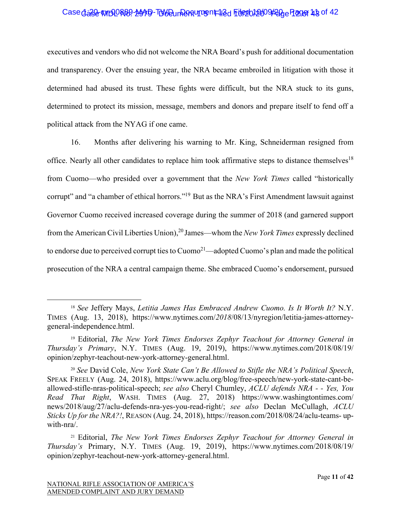#### Case dase WIDORB9-MAD-TUW Dun Party Translate File 2010 Page 12 of 42

executives and vendors who did not welcome the NRA Board's push for additional documentation and transparency. Over the ensuing year, the NRA became embroiled in litigation with those it determined had abused its trust. These fights were difficult, but the NRA stuck to its guns, determined to protect its mission, message, members and donors and prepare itself to fend off a political attack from the NYAG if one came.

16. Months after delivering his warning to Mr. King, Schneiderman resigned from office. Nearly all other candidates to replace him took affirmative steps to distance themselves<sup>18</sup> from Cuomo—who presided over a government that the *New York Times* called "historically corrupt" and "a chamber of ethical horrors."<sup>19</sup> But as the NRA's First Amendment lawsuit against Governor Cuomo received increased coverage during the summer of 2018 (and garnered support from the American Civil Liberties Union),20 James—whom the *New York Times* expressly declined to endorse due to perceived corrupt ties to  $Cuomo<sup>21</sup>$ —adopted Cuomo's plan and made the political prosecution of the NRA a central campaign theme. She embraced Cuomo's endorsement, pursued

<sup>18</sup> *See* Jeffery Mays, *Letitia James Has Embraced Andrew Cuomo. Is It Worth It?* N.Y. TIMES (Aug. 13, 2018), https://www.nytimes.com/*2018*/08/13/nyregion/letitia-james-attorneygeneral-independence.html.

<sup>19</sup> Editorial, *The New York Times Endorses Zephyr Teachout for Attorney General in Thursday's Primary*, N.Y. TIMES (Aug. 19, 2019), https://www.nytimes.com/2018/08/19/ opinion/zephyr-teachout-new-york-attorney-general.html.

<sup>20</sup> *See* David Cole, *New York State Can't Be Allowed to Stifle the NRA's Political Speech*, SPEAK FREELY (Aug. 24, 2018), https://www.aclu.org/blog/free-speech/new-york-state-cant-beallowed-stifle-nras-political-speech; *see also* Cheryl Chumley, *ACLU defends NRA - - Yes, You Read That Right*, WASH. TIMES (Aug. 27, 2018) https://www.washingtontimes.com/ news/2018/aug/27/aclu-defends-nra-yes-you-read-right/; *see also* Declan McCullagh, *ACLU Sticks Up for the NRA?!*, REASON (Aug. 24, 2018), https://reason.com/2018/08/24/aclu-teams- upwith-nra/.

<sup>21</sup> Editorial, *The New York Times Endorses Zephyr Teachout for Attorney General in Thursday's* Primary, N.Y. TIMES (Aug. 19, 2019), https://www.nytimes.com/2018/08/19/ opinion/zephyr-teachout-new-york-attorney-general.html.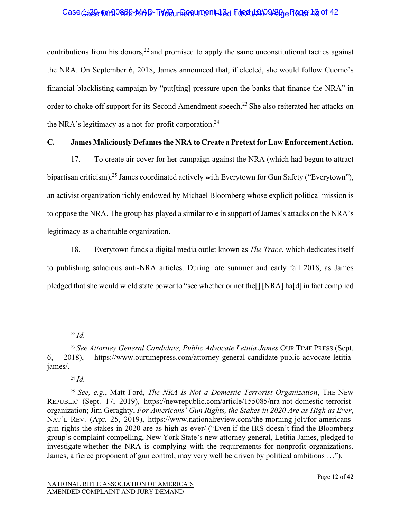## Case dase WIDORB9-MAD-TUW Dun Rentument 12d File 2012009/200 Plager 13 of 42

contributions from his donors, $^{22}$  and promised to apply the same unconstitutional tactics against the NRA. On September 6, 2018, James announced that, if elected, she would follow Cuomo's financial-blacklisting campaign by "put[ting] pressure upon the banks that finance the NRA" in order to choke off support for its Second Amendment speech.23 She also reiterated her attacks on the NRA's legitimacy as a not-for-profit corporation.<sup>24</sup>

#### **C. James Maliciously Defamesthe NRA to Create a Pretext for Law Enforcement Action.**

17. To create air cover for her campaign against the NRA (which had begun to attract bipartisan criticism),<sup>25</sup> James coordinated actively with Everytown for Gun Safety ("Everytown"), an activist organization richly endowed by Michael Bloomberg whose explicit political mission is to oppose the NRA. The group has played a similar role in support of James's attacks on the NRA's legitimacy as a charitable organization.

18. Everytown funds a digital media outlet known as *The Trace*, which dedicates itself to publishing salacious anti-NRA articles. During late summer and early fall 2018, as James pledged that she would wield state power to "see whether or not the[] [NRA] ha[d] in fact complied

<sup>22</sup> *Id.*

<sup>24</sup> *Id.*

<sup>23</sup> *See Attorney General Candidate, Public Advocate Letitia James* OUR TIME PRESS (Sept. 6, 2018), https://www.ourtimepress.com/attorney-general-candidate-public-advocate-letitiajames/.

<sup>25</sup> *See, e.g.*, Matt Ford, *The NRA Is Not a Domestic Terrorist Organization*, THE NEW REPUBLIC (Sept. 17, 2019), https://newrepublic.com/article/155085/nra-not-domestic-terroristorganization; Jim Geraghty, *For Americans' Gun Rights, the Stakes in 2020 Are as High as Ever*, NAT'L REV. (Apr. 25, 2019), https://www.nationalreview.com/the-morning-jolt/for-americansgun-rights-the-stakes-in-2020-are-as-high-as-ever/ ("Even if the IRS doesn't find the Bloomberg group's complaint compelling, New York State's new attorney general, Letitia James, pledged to investigate whether the NRA is complying with the requirements for nonprofit organizations. James, a fierce proponent of gun control, may very well be driven by political ambitions …").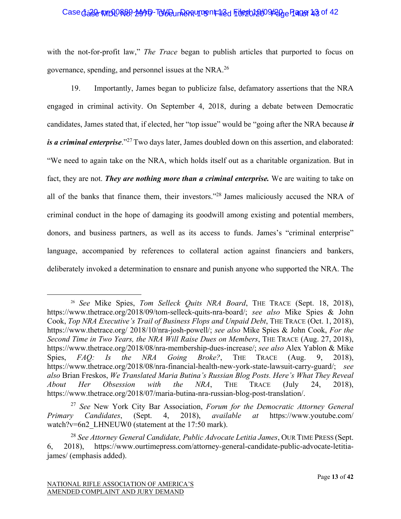#### Case dase WIDORB9-MAD-TUW Dun Party Translate File 2012/009/200 Page 13 of 42

with the not-for-profit law," *The Trace* began to publish articles that purported to focus on governance, spending, and personnel issues at the NRA.26

19. Importantly, James began to publicize false, defamatory assertions that the NRA engaged in criminal activity. On September 4, 2018, during a debate between Democratic candidates, James stated that, if elected, her "top issue" would be "going after the NRA because *it is a criminal enterprise*."<sup>27</sup>Two days later, James doubled down on this assertion, and elaborated: "We need to again take on the NRA, which holds itself out as a charitable organization. But in fact, they are not. *They are nothing more than a criminal enterprise.* We are waiting to take on all of the banks that finance them, their investors."28 James maliciously accused the NRA of criminal conduct in the hope of damaging its goodwill among existing and potential members, donors, and business partners, as well as its access to funds. James's "criminal enterprise" language, accompanied by references to collateral action against financiers and bankers, deliberately invoked a determination to ensnare and punish anyone who supported the NRA. The

<sup>26</sup> *See* Mike Spies, *Tom Selleck Quits NRA Board*, THE TRACE (Sept. 18, 2018), https://www.thetrace.org/2018/09/tom-selleck-quits-nra-board/; *see also* Mike Spies & John Cook, *Top NRA Executive's Trail of Business Flops and Unpaid Debt*, THE TRACE (Oct. 1, 2018), https://www.thetrace.org/ 2018/10/nra-josh-powell/; *see also* Mike Spies & John Cook, *For the Second Time in Two Years, the NRA Will Raise Dues on Members*, THE TRACE (Aug. 27, 2018), https://www.thetrace.org/2018/08/nra-membership-dues-increase/; *see also* Alex Yablon & Mike Spies, *FAQ: Is the NRA Going Broke?*, THE TRACE (Aug. 9, 2018), https://www.thetrace.org/2018/08/nra-financial-health-new-york-state-lawsuit-carry-guard/; *see also* Brian Freskos, *We Translated Maria Butina's Russian Blog Posts. Here's What They Reveal About Her Obsession with the NRA*, THE TRACE (July 24, 2018), https://www.thetrace.org/2018/07/maria-butina-nra-russian-blog-post-translation/.

<sup>27</sup> *See* New York City Bar Association, *Forum for the Democratic Attorney General Primary Candidates*, (Sept. 4, 2018), *available at* https://www.youtube.com/ watch?v=6n2 LHNEUW0 (statement at the 17:50 mark).

<sup>28</sup> *See Attorney General Candidate, Public Advocate Letitia James*, OUR TIME PRESS (Sept. 6, 2018), https://www.ourtimepress.com/attorney-general-candidate-public-advocate-letitiajames/ (emphasis added).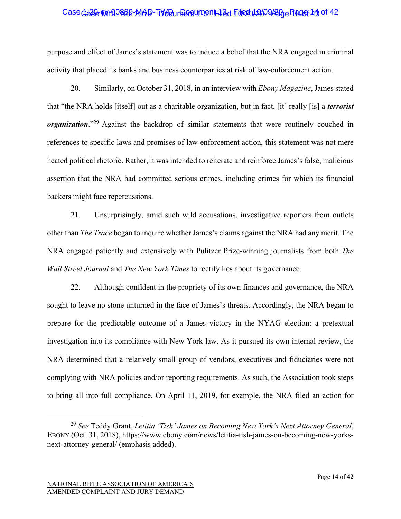# Case dase WIDORB9-MAD-TUW Dun Pantument 12d File 201009 20de Page 14 of 42

purpose and effect of James's statement was to induce a belief that the NRA engaged in criminal activity that placed its banks and business counterparties at risk of law-enforcement action.

20. Similarly, on October 31, 2018, in an interview with *Ebony Magazine*, James stated that "the NRA holds [itself] out as a charitable organization, but in fact, [it] really [is] a *terrorist organization*."<sup>29</sup> Against the backdrop of similar statements that were routinely couched in references to specific laws and promises of law-enforcement action, this statement was not mere heated political rhetoric. Rather, it was intended to reiterate and reinforce James's false, malicious assertion that the NRA had committed serious crimes, including crimes for which its financial backers might face repercussions.

21. Unsurprisingly, amid such wild accusations, investigative reporters from outlets other than *The Trace* began to inquire whether James's claims against the NRA had any merit. The NRA engaged patiently and extensively with Pulitzer Prize-winning journalists from both *The Wall Street Journal* and *The New York Times* to rectify lies about its governance.

22. Although confident in the propriety of its own finances and governance, the NRA sought to leave no stone unturned in the face of James's threats. Accordingly, the NRA began to prepare for the predictable outcome of a James victory in the NYAG election: a pretextual investigation into its compliance with New York law. As it pursued its own internal review, the NRA determined that a relatively small group of vendors, executives and fiduciaries were not complying with NRA policies and/or reporting requirements. As such, the Association took steps to bring all into full compliance. On April 11, 2019, for example, the NRA filed an action for

<sup>29</sup> *See* Teddy Grant, *Letitia 'Tish' James on Becoming New York's Next Attorney General*, EBONY (Oct. 31, 2018), https://www.ebony.com/news/letitia-tish-james-on-becoming-new-yorksnext-attorney-general/ (emphasis added).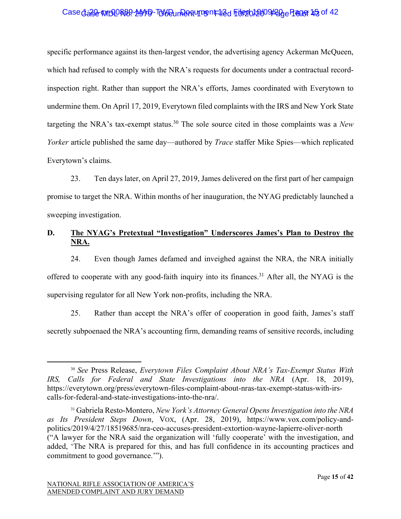#### Case dage MBOR89-MAD-TWD un Dent 12d Filed 1009/20 Page 15 of 42

specific performance against its then-largest vendor, the advertising agency Ackerman McQueen, which had refused to comply with the NRA's requests for documents under a contractual recordinspection right. Rather than support the NRA's efforts, James coordinated with Everytown to undermine them. On April 17, 2019, Everytown filed complaints with the IRS and New York State targeting the NRA's tax-exempt status.30 The sole source cited in those complaints was a *New Yorker* article published the same day—authored by *Trace* staffer Mike Spies—which replicated Everytown's claims.

23. Ten days later, on April 27, 2019, James delivered on the first part of her campaign promise to target the NRA. Within months of her inauguration, the NYAG predictably launched a sweeping investigation.

# **D. The NYAG's Pretextual "Investigation" Underscores James's Plan to Destroy the NRA.**

24. Even though James defamed and inveighed against the NRA, the NRA initially offered to cooperate with any good-faith inquiry into its finances.<sup>31</sup> After all, the NYAG is the supervising regulator for all New York non-profits, including the NRA.

25. Rather than accept the NRA's offer of cooperation in good faith, James's staff secretly subpoenaed the NRA's accounting firm, demanding reams of sensitive records, including

<sup>30</sup> *See* Press Release, *Everytown Files Complaint About NRA's Tax-Exempt Status With IRS, Calls for Federal and State Investigations into the NRA* (Apr. 18, 2019), https://everytown.org/press/everytown-files-complaint-about-nras-tax-exempt-status-with-irscalls-for-federal-and-state-investigations-into-the-nra/.

<sup>31</sup> Gabriela Resto-Montero, *New York's Attorney General Opens Investigation into the NRA as Its President Steps Down*, VOX, (Apr. 28, 2019), https://www.vox.com/policy-andpolitics/2019/4/27/18519685/nra-ceo-accuses-president-extortion-wayne-lapierre-oliver-north ("A lawyer for the NRA said the organization will 'fully cooperate' with the investigation, and added, 'The NRA is prepared for this, and has full confidence in its accounting practices and commitment to good governance.'").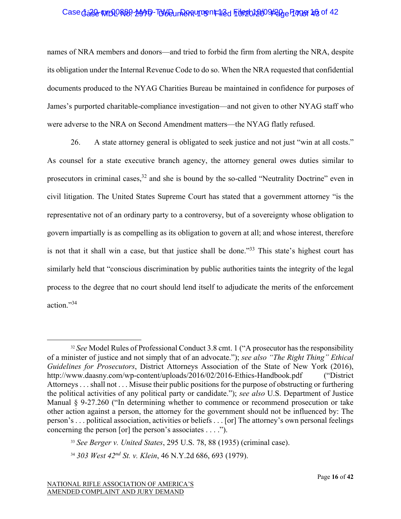# Case dase WIDORB9-MAD-TUW Dun Rent 112d File 2012009 Page 17 96 of 42

names of NRA members and donors—and tried to forbid the firm from alerting the NRA, despite its obligation under the Internal Revenue Code to do so. When the NRA requested that confidential documents produced to the NYAG Charities Bureau be maintained in confidence for purposes of James's purported charitable-compliance investigation—and not given to other NYAG staff who were adverse to the NRA on Second Amendment matters—the NYAG flatly refused.

26. A state attorney general is obligated to seek justice and not just "win at all costs." As counsel for a state executive branch agency, the attorney general owes duties similar to prosecutors in criminal cases,  $32$  and she is bound by the so-called "Neutrality Doctrine" even in civil litigation. The United States Supreme Court has stated that a government attorney "is the representative not of an ordinary party to a controversy, but of a sovereignty whose obligation to govern impartially is as compelling as its obligation to govern at all; and whose interest, therefore is not that it shall win a case, but that justice shall be done."<sup>33</sup> This state's highest court has similarly held that "conscious discrimination by public authorities taints the integrity of the legal process to the degree that no court should lend itself to adjudicate the merits of the enforcement action."34

<sup>&</sup>lt;sup>32</sup> *See* Model Rules of Professional Conduct 3.8 cmt. 1 ("A prosecutor has the responsibility of a minister of justice and not simply that of an advocate."); *see also "The Right Thing" Ethical Guidelines for Prosecutors*, District Attorneys Association of the State of New York (2016), http://www.daasny.com/wp-content/uploads/2016/02/2016-Ethics-Handbook.pdf ("District Attorneys . . . shall not . . . Misuse their public positions for the purpose of obstructing or furthering the political activities of any political party or candidate."); *see also* U.S. Department of Justice Manual § 9-27.260 ("In determining whether to commence or recommend prosecution or take other action against a person, the attorney for the government should not be influenced by: The person's . . . political association, activities or beliefs . . . [or] The attorney's own personal feelings concerning the person [or] the person's associates  $\dots$  ...").

<sup>33</sup> *See Berger v. United States*, 295 U.S. 78, 88 (1935) (criminal case).

<sup>34</sup> *303 West 42nd St. v. Klein*, 46 N.Y.2d 686, 693 (1979).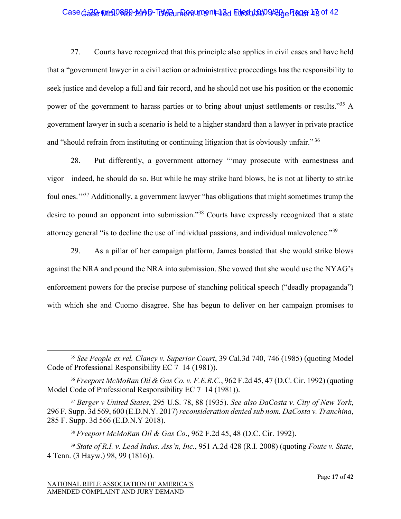# Case dase WIDDR89-MAD-TUW Dun Rentument 12d File 2012009/20 e Page 13 of 42

27. Courts have recognized that this principle also applies in civil cases and have held that a "government lawyer in a civil action or administrative proceedings has the responsibility to seek justice and develop a full and fair record, and he should not use his position or the economic power of the government to harass parties or to bring about unjust settlements or results."<sup>35</sup> A government lawyer in such a scenario is held to a higher standard than a lawyer in private practice and "should refrain from instituting or continuing litigation that is obviously unfair."<sup>36</sup>

28. Put differently, a government attorney "'may prosecute with earnestness and vigor—indeed, he should do so. But while he may strike hard blows, he is not at liberty to strike foul ones.'"37 Additionally, a government lawyer "has obligations that might sometimes trump the desire to pound an opponent into submission."<sup>38</sup> Courts have expressly recognized that a state attorney general "is to decline the use of individual passions, and individual malevolence."<sup>39</sup>

29. As a pillar of her campaign platform, James boasted that she would strike blows against the NRA and pound the NRA into submission. She vowed that she would use the NYAG's enforcement powers for the precise purpose of stanching political speech ("deadly propaganda") with which she and Cuomo disagree. She has begun to deliver on her campaign promises to

<sup>35</sup> *See People ex rel. Clancy v. Superior Court*, 39 Cal.3d 740, 746 (1985) (quoting Model Code of Professional Responsibility EC 7–14 (1981)).

<sup>36</sup> *Freeport McMoRan Oil & Gas Co. v. F.E.R.C.*, 962 F.2d 45, 47 (D.C. Cir. 1992) (quoting Model Code of Professional Responsibility EC 7–14 (1981)).

<sup>37</sup> *Berger v United States*, 295 U.S. 78, 88 (1935). *See also DaCosta v. City of New York*, 296 F. Supp. 3d 569, 600 (E.D.N.Y. 2017) *reconsideration denied sub nom. DaCosta v. Tranchina*, 285 F. Supp. 3d 566 (E.D.N.Y 2018).

<sup>38</sup> *Freeport McMoRan Oil & Gas Co*., 962 F.2d 45, 48 (D.C. Cir. 1992).

<sup>39</sup> *State of R.I. v. Lead Indus. Ass'n, Inc.*, 951 A.2d 428 (R.I. 2008) (quoting *Foute v. State*, 4 Tenn. (3 Hayw.) 98, 99 (1816)).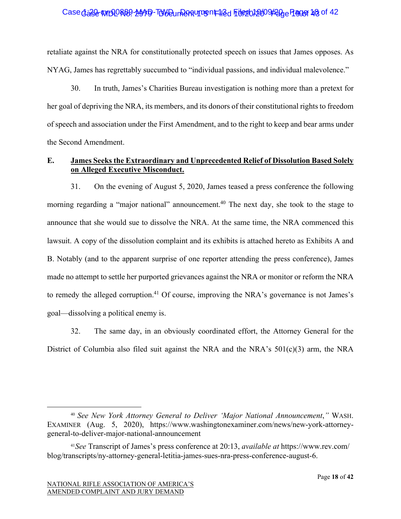## Case dase WIDORB9-MAD-TUW Dun Rentument 12d File 2012009/200 Page 18 of 42

retaliate against the NRA for constitutionally protected speech on issues that James opposes. As NYAG, James has regrettably succumbed to "individual passions, and individual malevolence."

30. In truth, James's Charities Bureau investigation is nothing more than a pretext for her goal of depriving the NRA, its members, and its donors of their constitutional rights to freedom of speech and association under the First Amendment, and to the right to keep and bear arms under the Second Amendment.

## **E. James Seeks the Extraordinary and Unprecedented Relief of Dissolution Based Solely on Alleged Executive Misconduct.**

31. On the evening of August 5, 2020, James teased a press conference the following morning regarding a "major national" announcement.<sup>40</sup> The next day, she took to the stage to announce that she would sue to dissolve the NRA. At the same time, the NRA commenced this lawsuit. A copy of the dissolution complaint and its exhibits is attached hereto as Exhibits A and B. Notably (and to the apparent surprise of one reporter attending the press conference), James made no attempt to settle her purported grievances against the NRA or monitor or reform the NRA to remedy the alleged corruption.<sup>41</sup> Of course, improving the NRA's governance is not James's goal—dissolving a political enemy is.

32. The same day, in an obviously coordinated effort, the Attorney General for the District of Columbia also filed suit against the NRA and the NRA's 501(c)(3) arm, the NRA

<sup>40</sup> *See New York Attorney General to Deliver 'Major National Announcement*,*"* WASH. EXAMINER (Aug. 5, 2020), https://www.washingtonexaminer.com/news/new-york-attorneygeneral-to-deliver-major-national-announcement

<sup>41</sup>*See* Transcript of James's press conference at 20:13, *available at* https://www.rev.com/ blog/transcripts/ny-attorney-general-letitia-james-sues-nra-press-conference-august-6.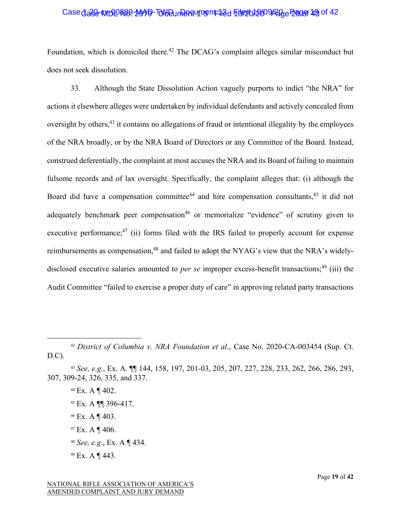## Case dase WIDORB9-MAD-TUW Dun Panturg nt 12d File 20109 Page Page 19 of 42

Foundation, which is domiciled there.<sup>42</sup> The DCAG's complaint alleges similar misconduct but does not seek dissolution.

33. Although the State Dissolution Action vaguely purports to indict "the NRA" for actions it elsewhere alleges were undertaken by individual defendants and actively concealed from oversight by others,<sup>43</sup> it contains no allegations of fraud or intentional illegality by the employees of the NRA broadly, or by the NRA Board of Directors or any Committee of the Board. Instead, construed deferentially, the complaint at most accuses the NRA and its Board of failing to maintain fulsome records and of lax oversight. Specifically, the complaint alleges that: (i) although the Board did have a compensation committee<sup>44</sup> and hire compensation consultants,  $45$  it did not adequately benchmark peer compensation<sup>46</sup> or memorialize "evidence" of scrutiny given to executive performance;<sup>47</sup> (ii) forms filed with the IRS failed to properly account for expense reimbursements as compensation,<sup>48</sup> and failed to adopt the NYAG's view that the NRA's widelydisclosed executive salaries amounted to *per se* improper excess-benefit transactions;<sup>49</sup> (iii) the Audit Committee "failed to exercise a proper duty of care" in approving related party transactions

- <sup>45</sup> Ex. A ¶¶ 396-417.
- <sup>46</sup> Ex. A ¶ 403.
- $47$  Ex. A ¶ 406.
- <sup>48</sup> *See, e.g*., Ex. A ¶ 434.
- <sup>49</sup> Ex. A ¶ 443.

<sup>42</sup> *District of Columbia v. NRA Foundation et al*., Case No. 2020-CA-003454 (Sup. Ct. D.C).

<sup>43</sup> *See, e.g.*, Ex. A. ¶¶ 144, 158, 197, 201-03, 205, 207, 227, 228, 233, 262, 266, 286, 293, 307, 309-24, 326, 335, and 337.

<sup>44</sup> Ex. A ¶ 402.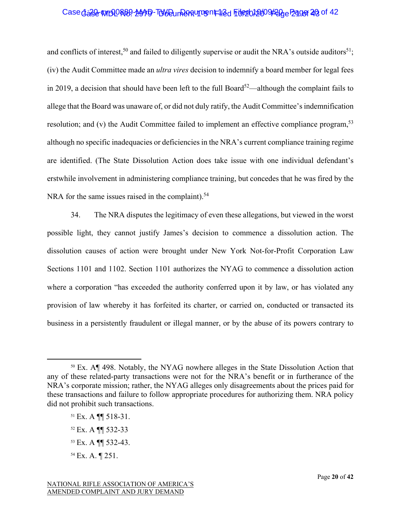# Case dase WIDORB9-MAD-TUW Dun Pantument 12d File 20109420 e Page 20 of 42

and conflicts of interest,<sup>50</sup> and failed to diligently supervise or audit the NRA's outside auditors<sup>51</sup>; (iv) the Audit Committee made an *ultra vires* decision to indemnify a board member for legal fees in 2019, a decision that should have been left to the full Board<sup>52</sup>—although the complaint fails to allege that the Board was unaware of, or did not duly ratify, the Audit Committee's indemnification resolution; and  $(v)$  the Audit Committee failed to implement an effective compliance program,  $53$ although no specific inadequacies or deficiencies in the NRA's current compliance training regime are identified. (The State Dissolution Action does take issue with one individual defendant's erstwhile involvement in administering compliance training, but concedes that he was fired by the NRA for the same issues raised in the complaint).<sup>54</sup>

34. The NRA disputes the legitimacy of even these allegations, but viewed in the worst possible light, they cannot justify James's decision to commence a dissolution action. The dissolution causes of action were brought under New York Not-for-Profit Corporation Law Sections 1101 and 1102. Section 1101 authorizes the NYAG to commence a dissolution action where a corporation "has exceeded the authority conferred upon it by law, or has violated any provision of law whereby it has forfeited its charter, or carried on, conducted or transacted its business in a persistently fraudulent or illegal manner, or by the abuse of its powers contrary to

<sup>50</sup> Ex. A¶ 498. Notably, the NYAG nowhere alleges in the State Dissolution Action that any of these related-party transactions were not for the NRA's benefit or in furtherance of the NRA's corporate mission; rather, the NYAG alleges only disagreements about the prices paid for these transactions and failure to follow appropriate procedures for authorizing them. NRA policy did not prohibit such transactions.

<sup>51</sup> Ex. A ¶¶ 518-31.

<sup>52</sup> Ex. A ¶¶ 532-33

<sup>53</sup> Ex. A ¶¶ 532-43.

<sup>54</sup> Ex. A. ¶ 251.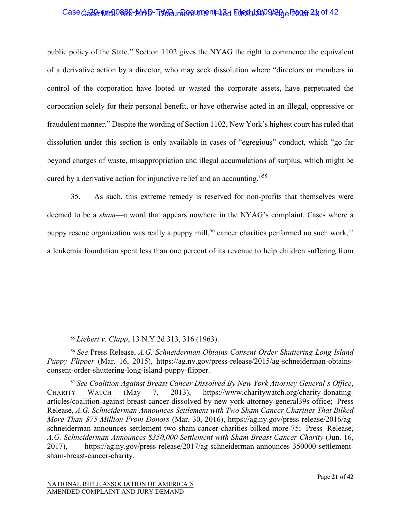# Case dase WIDDR89-MAD-TUW Dun Rentument 12d File 20109420 e Page 23 of 42

public policy of the State." Section 1102 gives the NYAG the right to commence the equivalent of a derivative action by a director, who may seek dissolution where "directors or members in control of the corporation have looted or wasted the corporate assets, have perpetuated the corporation solely for their personal benefit, or have otherwise acted in an illegal, oppressive or fraudulent manner." Despite the wording of Section 1102, New York's highest court has ruled that dissolution under this section is only available in cases of "egregious" conduct, which "go far beyond charges of waste, misappropriation and illegal accumulations of surplus, which might be cured by a derivative action for injunctive relief and an accounting."55

35. As such, this extreme remedy is reserved for non-profits that themselves were deemed to be a *sham*—a word that appears nowhere in the NYAG's complaint. Cases where a puppy rescue organization was really a puppy mill,<sup>56</sup> cancer charities performed no such work,<sup>57</sup> a leukemia foundation spent less than one percent of its revenue to help children suffering from

<sup>55</sup> *Liebert v. Clapp*, 13 N.Y.2d 313, 316 (1963).

<sup>56</sup> *See* Press Release, *A.G. Schneiderman Obtains Consent Order Shuttering Long Island Puppy Flipper* (Mar. 16, 2015), https://ag.ny.gov/press-release/2015/ag-schneiderman-obtainsconsent-order-shuttering-long-island-puppy-flipper.

<sup>57</sup> *See Coalition Against Breast Cancer Dissolved By New York Attorney General's Office*, CHARITY WATCH (May 7, 2013), https://www.charitywatch.org/charity-donatingarticles/coalition-against-breast-cancer-dissolved-by-new-york-attorney-general39s-office; Press Release, *A.G. Schneiderman Announces Settlement with Two Sham Cancer Charities That Bilked More Than \$75 Million From Donors* (Mar. 30, 2016), https://ag.ny.gov/press-release/2016/agschneiderman-announces-settlement-two-sham-cancer-charities-bilked-more-75; Press Release, *A.G. Schneiderman Announces \$350,000 Settlement with Sham Breast Cancer Charity* (Jun. 16, 2017), https://ag.ny.gov/press-release/2017/ag-schneiderman-announces-350000-settlementsham-breast-cancer-charity.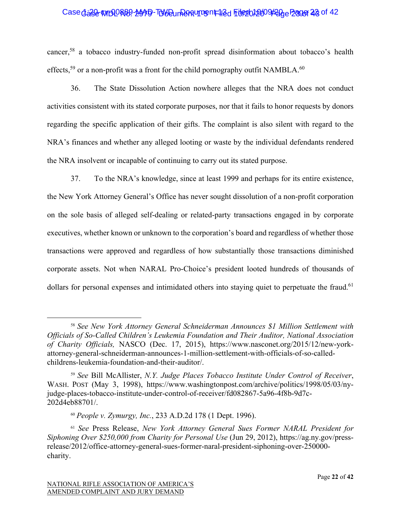#### Case dage MBQR89-MAD-TWD un Requirent 12d File 01/2009/20 e Page 23 of 42

cancer,58 a tobacco industry-funded non-profit spread disinformation about tobacco's health effects,<sup>59</sup> or a non-profit was a front for the child pornography outfit NAMBLA.<sup>60</sup>

36. The State Dissolution Action nowhere alleges that the NRA does not conduct activities consistent with its stated corporate purposes, nor that it fails to honor requests by donors regarding the specific application of their gifts. The complaint is also silent with regard to the NRA's finances and whether any alleged looting or waste by the individual defendants rendered the NRA insolvent or incapable of continuing to carry out its stated purpose.

37. To the NRA's knowledge, since at least 1999 and perhaps for its entire existence, the New York Attorney General's Office has never sought dissolution of a non-profit corporation on the sole basis of alleged self-dealing or related-party transactions engaged in by corporate executives, whether known or unknown to the corporation's board and regardless of whether those transactions were approved and regardless of how substantially those transactions diminished corporate assets. Not when NARAL Pro-Choice's president looted hundreds of thousands of dollars for personal expenses and intimidated others into staying quiet to perpetuate the fraud.<sup>61</sup>

<sup>58</sup> *See New York Attorney General Schneiderman Announces \$1 Million Settlement with Officials of So-Called Children's Leukemia Foundation and Their Auditor, National Association of Charity Officials,* NASCO (Dec. 17, 2015), https://www.nasconet.org/2015/12/new-yorkattorney-general-schneiderman-announces-1-million-settlement-with-officials-of-so-calledchildrens-leukemia-foundation-and-their-auditor/.

<sup>59</sup> *See* Bill McAllister, *N.Y. Judge Places Tobacco Institute Under Control of Receiver*, WASH. POST (May 3, 1998), https://www.washingtonpost.com/archive/politics/1998/05/03/nyjudge-places-tobacco-institute-under-control-of-receiver/fd082867-5a96-4f8b-9d7c-202d4eb88701/.

<sup>60</sup> *People v. Zymurgy, Inc.*, 233 A.D.2d 178 (1 Dept. 1996).

<sup>61</sup> *See* Press Release, *New York Attorney General Sues Former NARAL President for Siphoning Over \$250,000 from Charity for Personal Use* (Jun 29, 2012), https://ag.ny.gov/pressrelease/2012/office-attorney-general-sues-former-naral-president-siphoning-over-250000 charity.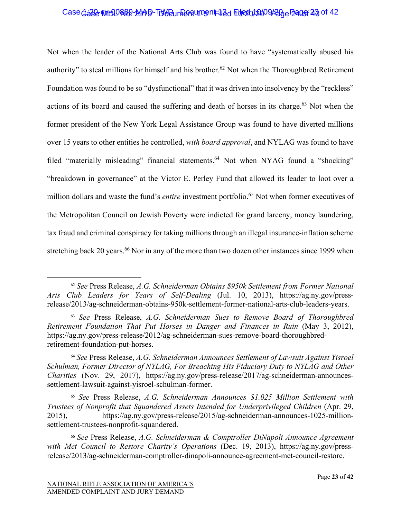#### Case dase WIDORB9-MAD-TUW Dun Party Translate File 2012 009 Page 23 of 42

Not when the leader of the National Arts Club was found to have "systematically abused his authority" to steal millions for himself and his brother.<sup>62</sup> Not when the Thoroughbred Retirement Foundation was found to be so "dysfunctional" that it was driven into insolvency by the "reckless" actions of its board and caused the suffering and death of horses in its charge.<sup>63</sup> Not when the former president of the New York Legal Assistance Group was found to have diverted millions over 15 years to other entities he controlled, *with board approval*, and NYLAG was found to have filed "materially misleading" financial statements.<sup>64</sup> Not when NYAG found a "shocking" "breakdown in governance" at the Victor E. Perley Fund that allowed its leader to loot over a million dollars and waste the fund's *entire* investment portfolio.<sup>65</sup> Not when former executives of the Metropolitan Council on Jewish Poverty were indicted for grand larceny, money laundering, tax fraud and criminal conspiracy for taking millions through an illegal insurance-inflation scheme stretching back 20 years.<sup>66</sup> Nor in any of the more than two dozen other instances since 1999 when

<sup>62</sup> *See* Press Release, *A.G. Schneiderman Obtains \$950k Settlement from Former National Arts Club Leaders for Years of Self-Dealing* (Jul. 10, 2013), https://ag.ny.gov/pressrelease/2013/ag-schneiderman-obtains-950k-settlement-former-national-arts-club-leaders-years.

<sup>63</sup> *See* Press Release, *A.G. Schneiderman Sues to Remove Board of Thoroughbred Retirement Foundation That Put Horses in Danger and Finances in Ruin* (May 3, 2012), https://ag.ny.gov/press-release/2012/ag-schneiderman-sues-remove-board-thoroughbredretirement-foundation-put-horses.

<sup>64</sup> *See* Press Release, *A.G. Schneiderman Announces Settlement of Lawsuit Against Yisroel Schulman, Former Director of NYLAG, For Breaching His Fiduciary Duty to NYLAG and Other Charities* (Nov. 29, 2017), https://ag.ny.gov/press-release/2017/ag-schneiderman-announcessettlement-lawsuit-against-yisroel-schulman-former.

<sup>65</sup> *See* Press Release, *A.G. Schneiderman Announces \$1.025 Million Settlement with Trustees of Nonprofit that Squandered Assets Intended for Underprivileged Children* (Apr. 29, 2015), https://ag.ny.gov/press-release/2015/ag-schneiderman-announces-1025-millionsettlement-trustees-nonprofit-squandered.

<sup>66</sup> *See* Press Release, *A.G. Schneiderman & Comptroller DiNapoli Announce Agreement with Met Council to Restore Charity's Operations* (Dec. 19, 2013), https://ag.ny.gov/pressrelease/2013/ag-schneiderman-comptroller-dinapoli-announce-agreement-met-council-restore.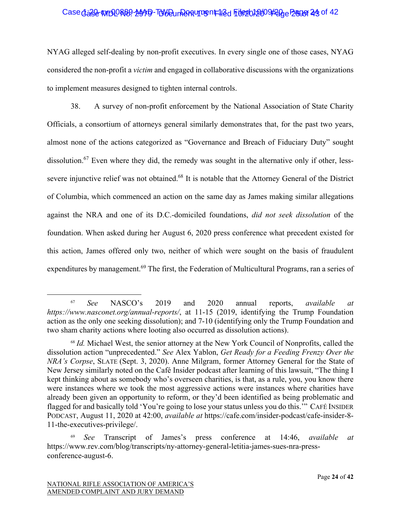# Case dase WIDORB9-MAD-TUW Dun Rentument 12d File 2012 009/20 e Page 24 of 42

NYAG alleged self-dealing by non-profit executives. In every single one of those cases, NYAG considered the non-profit a *victim* and engaged in collaborative discussions with the organizations to implement measures designed to tighten internal controls.

38. A survey of non-profit enforcement by the National Association of State Charity Officials, a consortium of attorneys general similarly demonstrates that, for the past two years, almost none of the actions categorized as "Governance and Breach of Fiduciary Duty" sought dissolution.<sup>67</sup> Even where they did, the remedy was sought in the alternative only if other, lesssevere injunctive relief was not obtained.<sup>68</sup> It is notable that the Attorney General of the District of Columbia, which commenced an action on the same day as James making similar allegations against the NRA and one of its D.C.-domiciled foundations, *did not seek dissolution* of the foundation. When asked during her August 6, 2020 press conference what precedent existed for this action, James offered only two, neither of which were sought on the basis of fraudulent expenditures by management.<sup>69</sup> The first, the Federation of Multicultural Programs, ran a series of

<sup>67</sup> *See* NASCO's 2019 and 2020 annual reports, *available at https://www.nasconet.org/annual-reports/*, at 11-15 (2019, identifying the Trump Foundation action as the only one seeking dissolution); and 7-10 (identifying only the Trump Foundation and two sham charity actions where looting also occurred as dissolution actions).

<sup>68</sup> *Id.* Michael West, the senior attorney at the New York Council of Nonprofits, called the dissolution action "unprecedented." *See* Alex Yablon, *Get Ready for a Feeding Frenzy Over the NRA's Corpse*, SLATE (Sept. 3, 2020). Anne Milgram, former Attorney General for the State of New Jersey similarly noted on the Café Insider podcast after learning of this lawsuit, "The thing I kept thinking about as somebody who's overseen charities, is that, as a rule, you, you know there were instances where we took the most aggressive actions were instances where charities have already been given an opportunity to reform, or they'd been identified as being problematic and flagged for and basically told 'You're going to lose your status unless you do this.'" CAFÉ INSIDER PODCAST, August 11, 2020 at 42:00, *available at* https://cafe.com/insider-podcast/cafe-insider-8- 11-the-executives-privilege/.

<sup>69</sup> *See* Transcript of James's press conference at 14:46, *available at*  https://www.rev.com/blog/transcripts/ny-attorney-general-letitia-james-sues-nra-pressconference-august-6.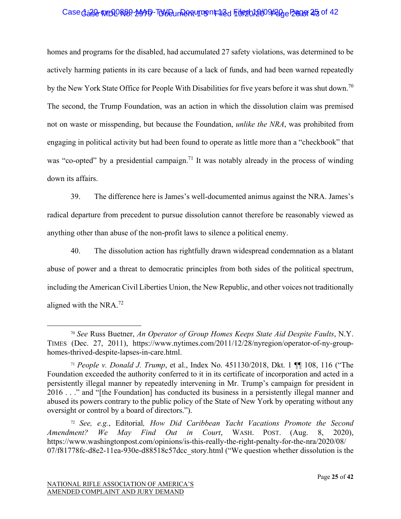# Case dase WIDDR89-MAD-TUW Dun Rentument 12d File 20109420 e Page 25 of 42

homes and programs for the disabled, had accumulated 27 safety violations, was determined to be actively harming patients in its care because of a lack of funds, and had been warned repeatedly by the New York State Office for People With Disabilities for five years before it was shut down.<sup>70</sup> The second, the Trump Foundation, was an action in which the dissolution claim was premised not on waste or misspending, but because the Foundation, *unlike the NRA*, was prohibited from engaging in political activity but had been found to operate as little more than a "checkbook" that was "co-opted" by a presidential campaign.<sup>71</sup> It was notably already in the process of winding down its affairs.

39. The difference here is James's well-documented animus against the NRA. James's radical departure from precedent to pursue dissolution cannot therefore be reasonably viewed as anything other than abuse of the non-profit laws to silence a political enemy.

40. The dissolution action has rightfully drawn widespread condemnation as a blatant abuse of power and a threat to democratic principles from both sides of the political spectrum, including the American Civil Liberties Union, the New Republic, and other voices not traditionally aligned with the NRA.72

<sup>70</sup> *See* Russ Buetner, *An Operator of Group Homes Keeps State Aid Despite Faults*, N.Y. TIMES (Dec. 27, 2011), https://www.nytimes.com/2011/12/28/nyregion/operator-of-ny-grouphomes-thrived-despite-lapses-in-care.html.

<sup>71</sup> *People v. Donald J. Trump*, et al., Index No. 451130/2018, Dkt. 1 ¶¶ 108, 116 ("The Foundation exceeded the authority conferred to it in its certificate of incorporation and acted in a persistently illegal manner by repeatedly intervening in Mr. Trump's campaign for president in 2016 . . ." and "[the Foundation] has conducted its business in a persistently illegal manner and abused its powers contrary to the public policy of the State of New York by operating without any oversight or control by a board of directors.").

<sup>72</sup> *See, e.g.*, Editorial*, How Did Caribbean Yacht Vacations Promote the Second Amendment? We May Find Out in Court*, WASH. POST. (Aug. 8, 2020), https://www.washingtonpost.com/opinions/is-this-really-the-right-penalty-for-the-nra/2020/08/ 07/f81778fc-d8e2-11ea-930e-d88518c57dcc\_story.html ("We question whether dissolution is the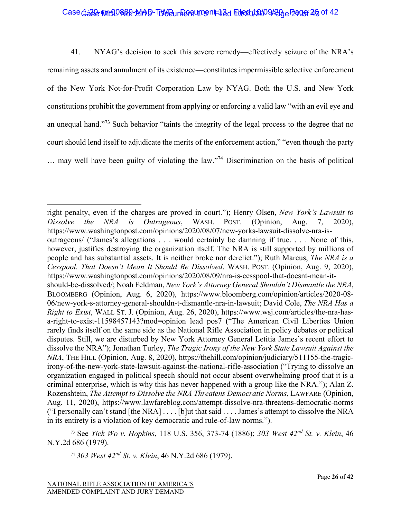# Case dase WIDDR89-MAD-TUW Dun Rentument 12d File 2012 009/20 e Page 26 of 42

41. NYAG's decision to seek this severe remedy—effectively seizure of the NRA's remaining assets and annulment of its existence—constitutes impermissible selective enforcement of the New York Not-for-Profit Corporation Law by NYAG. Both the U.S. and New York constitutions prohibit the government from applying or enforcing a valid law "with an evil eye and an unequal hand."<sup>73</sup> Such behavior "taints the integrity of the legal process to the degree that no court should lend itself to adjudicate the merits of the enforcement action," "even though the party … may well have been guilty of violating the law."74 Discrimination on the basis of political

<sup>74</sup> *303 West 42nd St. v. Klein*, 46 N.Y.2d 686 (1979).

right penalty, even if the charges are proved in court."); Henry Olsen, *New York's Lawsuit to Dissolve the NRA is Outrageous*, WASH. POST. (Opinion, Aug. 7, 2020), https://www.washingtonpost.com/opinions/2020/08/07/new-yorks-lawsuit-dissolve-nra-isoutrageous/ ("James's allegations . . . would certainly be damning if true. . . . None of this, however, justifies destroying the organization itself. The NRA is still supported by millions of people and has substantial assets. It is neither broke nor derelict."); Ruth Marcus, *The NRA is a Cesspool. That Doesn't Mean It Should Be Dissolved*, WASH. POST. (Opinion, Aug. 9, 2020), https://www.washingtonpost.com/opinions/2020/08/09/nra-is-cesspool-that-doesnt-mean-itshould-be-dissolved/; Noah Feldman, *New York's Attorney General Shouldn't Dismantle the NRA*, BLOOMBERG (Opinion, Aug. 6, 2020), https://www.bloomberg.com/opinion/articles/2020-08- 06/new-york-s-attorney-general-shouldn-t-dismantle-nra-in-lawsuit; David Cole, *The NRA Has a Right to Exist*, WALL ST. J. (Opinion, Aug. 26, 2020), https://www.wsj.com/articles/the-nra-hasa-right-to-exist-11598457143?mod=opinion lead pos7 ("The American Civil Liberties Union rarely finds itself on the same side as the National Rifle Association in policy debates or political disputes. Still, we are disturbed by New York Attorney General Letitia James's recent effort to dissolve the NRA"); Jonathan Turley, *The Tragic Irony of the New York State Lawsuit Against the NRA*, THE HILL (Opinion, Aug. 8, 2020), https://thehill.com/opinion/judiciary/511155-the-tragicirony-of-the-new-york-state-lawsuit-against-the-national-rifle-association ("Trying to dissolve an organization engaged in political speech should not occur absent overwhelming proof that it is a criminal enterprise, which is why this has never happened with a group like the NRA."); Alan Z. Rozenshtein, *The Attempt to Dissolve the NRA Threatens Democratic Norms*, LAWFARE (Opinion, Aug. 11, 2020), https://www.lawfareblog.com/attempt-dissolve-nra-threatens-democratic-norms ("I personally can't stand [the NRA] . . . . [b]ut that said . . . . James's attempt to dissolve the NRA in its entirety is a violation of key democratic and rule-of-law norms.").

<sup>73</sup> See *Yick Wo v. Hopkins*, 118 U.S. 356, 373-74 (1886); *303 West 42nd St. v. Klein*, 46 N.Y.2d 686 (1979).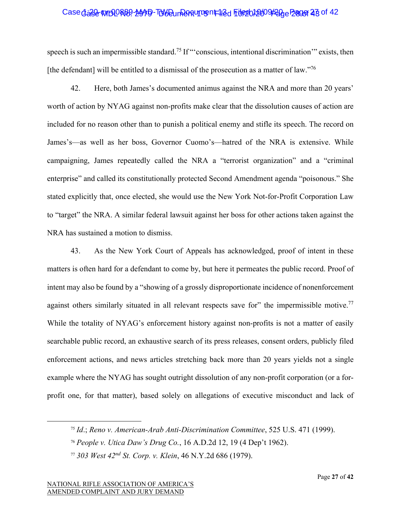## Case dase WIDORB9-MAD-TUW Dun Pantument 12d File 2010 9420 e Page 28 of 42

speech is such an impermissible standard.<sup>75</sup> If "'conscious, intentional discrimination'" exists, then [the defendant] will be entitled to a dismissal of the prosecution as a matter of law."<sup>76</sup>

42. Here, both James's documented animus against the NRA and more than 20 years' worth of action by NYAG against non-profits make clear that the dissolution causes of action are included for no reason other than to punish a political enemy and stifle its speech. The record on James's—as well as her boss, Governor Cuomo's—hatred of the NRA is extensive. While campaigning, James repeatedly called the NRA a "terrorist organization" and a "criminal enterprise" and called its constitutionally protected Second Amendment agenda "poisonous." She stated explicitly that, once elected, she would use the New York Not-for-Profit Corporation Law to "target" the NRA. A similar federal lawsuit against her boss for other actions taken against the NRA has sustained a motion to dismiss.

43. As the New York Court of Appeals has acknowledged, proof of intent in these matters is often hard for a defendant to come by, but here it permeates the public record. Proof of intent may also be found by a "showing of a grossly disproportionate incidence of nonenforcement against others similarly situated in all relevant respects save for" the impermissible motive.<sup>77</sup> While the totality of NYAG's enforcement history against non-profits is not a matter of easily searchable public record, an exhaustive search of its press releases, consent orders, publicly filed enforcement actions, and news articles stretching back more than 20 years yields not a single example where the NYAG has sought outright dissolution of any non-profit corporation (or a forprofit one, for that matter), based solely on allegations of executive misconduct and lack of

<sup>75</sup> *Id*.; *Reno v. American-Arab Anti-Discrimination Committee*, 525 U.S. 471 (1999).

<sup>76</sup> *People v. Utica Daw's Drug Co.*, 16 A.D.2d 12, 19 (4 Dep't 1962).

<sup>77</sup> *303 West 42nd St. Corp. v. Klein*, 46 N.Y.2d 686 (1979).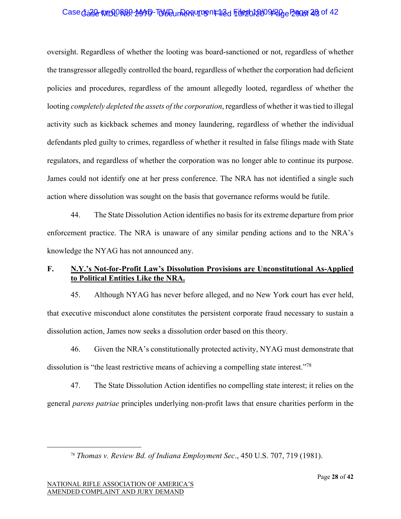## Case dase WIDORB9-MAD-TUW Dun Panturg nt 12d File 2010 9420 e Page 28 of 42

oversight. Regardless of whether the looting was board-sanctioned or not, regardless of whether the transgressor allegedly controlled the board, regardless of whether the corporation had deficient policies and procedures, regardless of the amount allegedly looted, regardless of whether the looting *completely depleted the assets of the corporation*, regardless of whether it was tied to illegal activity such as kickback schemes and money laundering, regardless of whether the individual defendants pled guilty to crimes, regardless of whether it resulted in false filings made with State regulators, and regardless of whether the corporation was no longer able to continue its purpose. James could not identify one at her press conference. The NRA has not identified a single such action where dissolution was sought on the basis that governance reforms would be futile.

44. The State Dissolution Action identifies no basis for its extreme departure from prior enforcement practice. The NRA is unaware of any similar pending actions and to the NRA's knowledge the NYAG has not announced any.

#### **F. N.Y.'s Not-for-Profit Law's Dissolution Provisions are Unconstitutional As-Applied to Political Entities Like the NRA.**

45. Although NYAG has never before alleged, and no New York court has ever held, that executive misconduct alone constitutes the persistent corporate fraud necessary to sustain a dissolution action, James now seeks a dissolution order based on this theory.

46. Given the NRA's constitutionally protected activity, NYAG must demonstrate that dissolution is "the least restrictive means of achieving a compelling state interest."<sup>78</sup>

47. The State Dissolution Action identifies no compelling state interest; it relies on the general *parens patriae* principles underlying non-profit laws that ensure charities perform in the

<sup>78</sup> *Thomas v. Review Bd. of Indiana Employment Sec*., 450 U.S. 707, 719 (1981).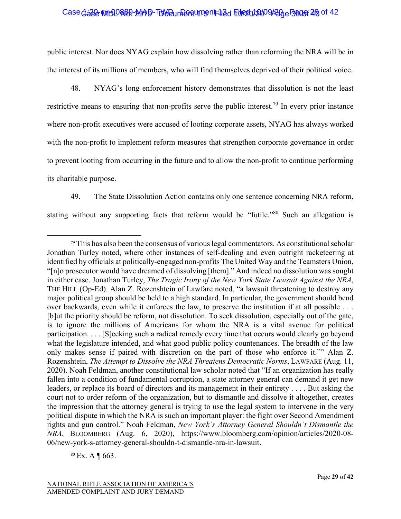# Case dase WIDDR89-MAD-TUW Dun Rentument 12d File 2012 009/20 e Bager 29 of 42

public interest. Nor does NYAG explain how dissolving rather than reforming the NRA will be in the interest of its millions of members, who will find themselves deprived of their political voice.

48. NYAG's long enforcement history demonstrates that dissolution is not the least restrictive means to ensuring that non-profits serve the public interest.<sup>79</sup> In every prior instance where non-profit executives were accused of looting corporate assets, NYAG has always worked with the non-profit to implement reform measures that strengthen corporate governance in order to prevent looting from occurring in the future and to allow the non-profit to continue performing its charitable purpose.

49. The State Dissolution Action contains only one sentence concerning NRA reform, stating without any supporting facts that reform would be "futile."<sup>80</sup> Such an allegation is

<sup>80</sup> Ex. A ¶ 663.

 $79$  This has also been the consensus of various legal commentators. As constitutional scholar Jonathan Turley noted, where other instances of self-dealing and even outright racketeering at identified by officials at politically-engaged non-profits The United Way and the Teamsters Union, "[n]o prosecutor would have dreamed of dissolving [them]." And indeed no dissolution was sought in either case. Jonathan Turley, *The Tragic Irony of the New York State Lawsuit Against the NRA*, THE HILL (Op-Ed). Alan Z. Rozenshtein of Lawfare noted, "a lawsuit threatening to destroy any major political group should be held to a high standard. In particular, the government should bend over backwards, even while it enforces the law, to preserve the institution if at all possible . . . [b]ut the priority should be reform, not dissolution. To seek dissolution, especially out of the gate, is to ignore the millions of Americans for whom the NRA is a vital avenue for political participation. . . . [S]eeking such a radical remedy every time that occurs would clearly go beyond what the legislature intended, and what good public policy countenances. The breadth of the law only makes sense if paired with discretion on the part of those who enforce it."" Alan Z. Rozenshtein, *The Attempt to Dissolve the NRA Threatens Democratic Norms*, LAWFARE (Aug. 11, 2020). Noah Feldman, another constitutional law scholar noted that "If an organization has really fallen into a condition of fundamental corruption, a state attorney general can demand it get new leaders, or replace its board of directors and its management in their entirety . . . . But asking the court not to order reform of the organization, but to dismantle and dissolve it altogether, creates the impression that the attorney general is trying to use the legal system to intervene in the very political dispute in which the NRA is such an important player: the fight over Second Amendment rights and gun control." Noah Feldman, *New York's Attorney General Shouldn't Dismantle the NRA*, BLOOMBERG (Aug. 6, 2020), https://www.bloomberg.com/opinion/articles/2020-08- 06/new-york-s-attorney-general-shouldn-t-dismantle-nra-in-lawsuit.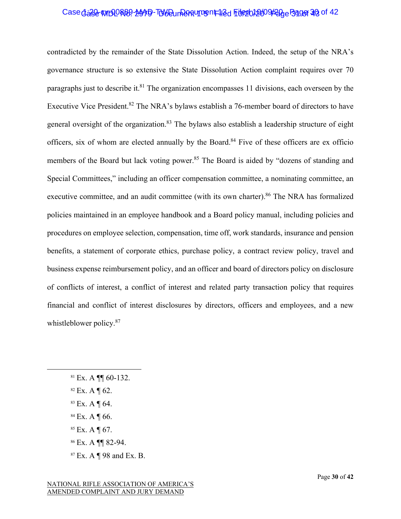## Case dase WIDORB9-MAD-TUW Dun Pantument 12d File 2012/09/200 Page 32 of 42

contradicted by the remainder of the State Dissolution Action. Indeed, the setup of the NRA's governance structure is so extensive the State Dissolution Action complaint requires over 70 paragraphs just to describe it.<sup>81</sup> The organization encompasses 11 divisions, each overseen by the Executive Vice President.<sup>82</sup> The NRA's bylaws establish a 76-member board of directors to have general oversight of the organization.<sup>83</sup> The bylaws also establish a leadership structure of eight officers, six of whom are elected annually by the Board.<sup>84</sup> Five of these officers are ex officio members of the Board but lack voting power.<sup>85</sup> The Board is aided by "dozens of standing and Special Committees," including an officer compensation committee, a nominating committee, an executive committee, and an audit committee (with its own charter).<sup>86</sup> The NRA has formalized policies maintained in an employee handbook and a Board policy manual, including policies and procedures on employee selection, compensation, time off, work standards, insurance and pension benefits, a statement of corporate ethics, purchase policy, a contract review policy, travel and business expense reimbursement policy, and an officer and board of directors policy on disclosure of conflicts of interest, a conflict of interest and related party transaction policy that requires financial and conflict of interest disclosures by directors, officers and employees, and a new whistleblower policy.<sup>87</sup>

- $81$  Ex. A ¶ 60-132.
- $82$  Ex. A  $\P$  62.
- <sup>83</sup> Ex. A ¶ 64.
- $84$  Ex. A ¶ 66.
- <sup>85</sup> Ex. A ¶ 67.
- <sup>86</sup> Ex. A ¶¶ 82-94.
- <sup>87</sup> Ex. A ¶ 98 and Ex. B.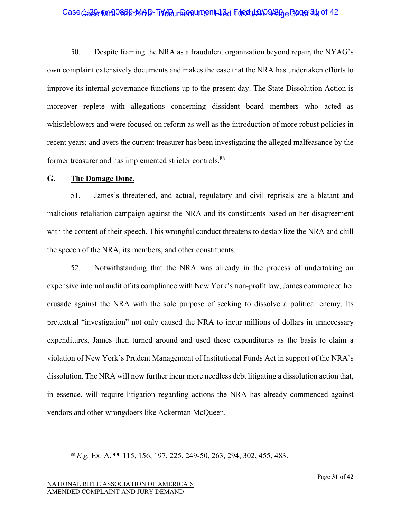## Case dase WIDORB9-MAD-TUW Dun Panturrent 12d File 20109420 e Bager 23 of 42

50. Despite framing the NRA as a fraudulent organization beyond repair, the NYAG's own complaint extensively documents and makes the case that the NRA has undertaken efforts to improve its internal governance functions up to the present day. The State Dissolution Action is moreover replete with allegations concerning dissident board members who acted as whistleblowers and were focused on reform as well as the introduction of more robust policies in recent years; and avers the current treasurer has been investigating the alleged malfeasance by the former treasurer and has implemented stricter controls.<sup>88</sup>

#### **G. The Damage Done.**

51. James's threatened, and actual, regulatory and civil reprisals are a blatant and malicious retaliation campaign against the NRA and its constituents based on her disagreement with the content of their speech. This wrongful conduct threatens to destabilize the NRA and chill the speech of the NRA, its members, and other constituents.

52. Notwithstanding that the NRA was already in the process of undertaking an expensive internal audit of its compliance with New York's non-profit law, James commenced her crusade against the NRA with the sole purpose of seeking to dissolve a political enemy. Its pretextual "investigation" not only caused the NRA to incur millions of dollars in unnecessary expenditures, James then turned around and used those expenditures as the basis to claim a violation of New York's Prudent Management of Institutional Funds Act in support of the NRA's dissolution. The NRA will now further incur more needless debt litigating a dissolution action that, in essence, will require litigation regarding actions the NRA has already commenced against vendors and other wrongdoers like Ackerman McQueen.

<sup>88</sup> *E.g.* Ex. A. ¶¶ 115, 156, 197, 225, 249-50, 263, 294, 302, 455, 483.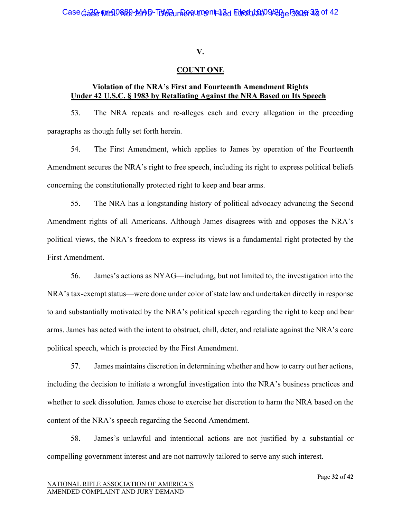#### **V.**

#### **COUNT ONE**

## **Violation of the NRA's First and Fourteenth Amendment Rights Under 42 U.S.C. § 1983 by Retaliating Against the NRA Based on Its Speech**

53. The NRA repeats and re-alleges each and every allegation in the preceding paragraphs as though fully set forth herein.

54. The First Amendment, which applies to James by operation of the Fourteenth Amendment secures the NRA's right to free speech, including its right to express political beliefs concerning the constitutionally protected right to keep and bear arms.

55. The NRA has a longstanding history of political advocacy advancing the Second Amendment rights of all Americans. Although James disagrees with and opposes the NRA's political views, the NRA's freedom to express its views is a fundamental right protected by the First Amendment.

56. James's actions as NYAG—including, but not limited to, the investigation into the NRA's tax-exempt status—were done under color of state law and undertaken directly in response to and substantially motivated by the NRA's political speech regarding the right to keep and bear arms. James has acted with the intent to obstruct, chill, deter, and retaliate against the NRA's core political speech, which is protected by the First Amendment.

57. James maintains discretion in determining whether and how to carry out her actions, including the decision to initiate a wrongful investigation into the NRA's business practices and whether to seek dissolution. James chose to exercise her discretion to harm the NRA based on the content of the NRA's speech regarding the Second Amendment.

58. James's unlawful and intentional actions are not justified by a substantial or compelling government interest and are not narrowly tailored to serve any such interest.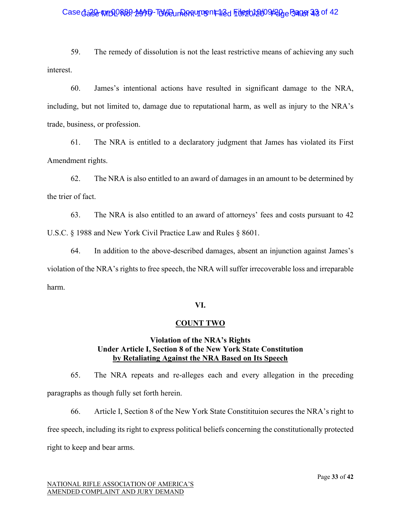## Case dase WIDORB9-MAD-TUW Dun Partument 12d File 2012/09/200 Page 33 of 42

59. The remedy of dissolution is not the least restrictive means of achieving any such interest.

60. James's intentional actions have resulted in significant damage to the NRA, including, but not limited to, damage due to reputational harm, as well as injury to the NRA's trade, business, or profession.

61. The NRA is entitled to a declaratory judgment that James has violated its First Amendment rights.

62. The NRA is also entitled to an award of damages in an amount to be determined by the trier of fact.

63. The NRA is also entitled to an award of attorneys' fees and costs pursuant to 42 U.S.C. § 1988 and New York Civil Practice Law and Rules § 8601.

64. In addition to the above-described damages, absent an injunction against James's violation of the NRA's rights to free speech, the NRA will suffer irrecoverable loss and irreparable harm.

#### **VI.**

#### **COUNT TWO**

# **Violation of the NRA's Rights Under Article I, Section 8 of the New York State Constitution by Retaliating Against the NRA Based on Its Speech**

65. The NRA repeats and re-alleges each and every allegation in the preceding paragraphs as though fully set forth herein.

66. Article I, Section 8 of the New York State Constitituion secures the NRA's right to free speech, including its right to express political beliefs concerning the constitutionally protected right to keep and bear arms.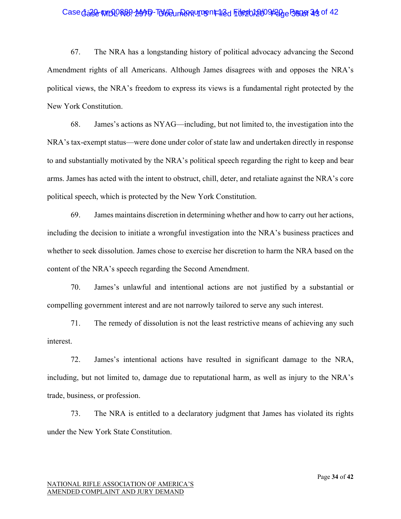## Case dase WIDORB9-MAD-TUW Dun Pantument 12d File 2012/09/200 Page 34 of 42

67. The NRA has a longstanding history of political advocacy advancing the Second Amendment rights of all Americans. Although James disagrees with and opposes the NRA's political views, the NRA's freedom to express its views is a fundamental right protected by the New York Constitution.

68. James's actions as NYAG—including, but not limited to, the investigation into the NRA's tax-exempt status—were done under color of state law and undertaken directly in response to and substantially motivated by the NRA's political speech regarding the right to keep and bear arms. James has acted with the intent to obstruct, chill, deter, and retaliate against the NRA's core political speech, which is protected by the New York Constitution.

69. James maintains discretion in determining whether and how to carry out her actions, including the decision to initiate a wrongful investigation into the NRA's business practices and whether to seek dissolution. James chose to exercise her discretion to harm the NRA based on the content of the NRA's speech regarding the Second Amendment.

70. James's unlawful and intentional actions are not justified by a substantial or compelling government interest and are not narrowly tailored to serve any such interest.

71. The remedy of dissolution is not the least restrictive means of achieving any such interest.

72. James's intentional actions have resulted in significant damage to the NRA, including, but not limited to, damage due to reputational harm, as well as injury to the NRA's trade, business, or profession.

73. The NRA is entitled to a declaratory judgment that James has violated its rights under the New York State Constitution.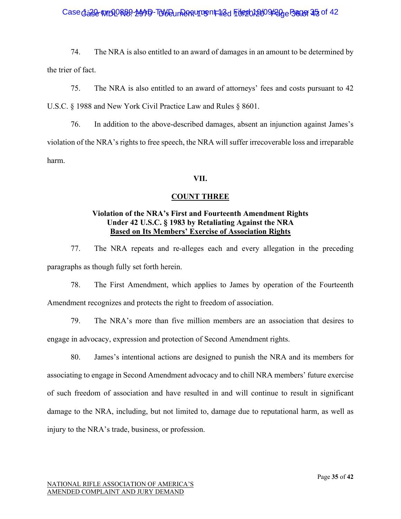## Case dase WIDORB9-MAD-TUW Dun Panturrent 12d File 2012/09/200 Pager 25 of 42

74. The NRA is also entitled to an award of damages in an amount to be determined by the trier of fact.

75. The NRA is also entitled to an award of attorneys' fees and costs pursuant to 42 U.S.C. § 1988 and New York Civil Practice Law and Rules § 8601.

76. In addition to the above-described damages, absent an injunction against James's violation of the NRA's rights to free speech, the NRA will suffer irrecoverable loss and irreparable harm.

#### **VII.**

#### **COUNT THREE**

## **Violation of the NRA's First and Fourteenth Amendment Rights Under 42 U.S.C. § 1983 by Retaliating Against the NRA Based on Its Members' Exercise of Association Rights**

77. The NRA repeats and re-alleges each and every allegation in the preceding paragraphs as though fully set forth herein.

78. The First Amendment, which applies to James by operation of the Fourteenth Amendment recognizes and protects the right to freedom of association.

79. The NRA's more than five million members are an association that desires to engage in advocacy, expression and protection of Second Amendment rights.

80. James's intentional actions are designed to punish the NRA and its members for associating to engage in Second Amendment advocacy and to chill NRA members' future exercise of such freedom of association and have resulted in and will continue to result in significant damage to the NRA, including, but not limited to, damage due to reputational harm, as well as injury to the NRA's trade, business, or profession.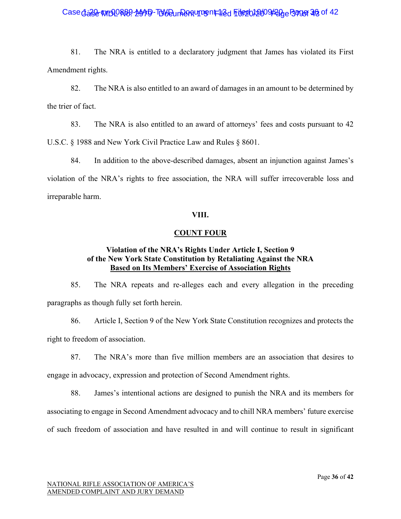## Case dase WIDORB9-MAD-TUW Dun Rentument 12d File 2012009/200 Page 36 of 42

81. The NRA is entitled to a declaratory judgment that James has violated its First Amendment rights.

82. The NRA is also entitled to an award of damages in an amount to be determined by the trier of fact.

83. The NRA is also entitled to an award of attorneys' fees and costs pursuant to 42 U.S.C. § 1988 and New York Civil Practice Law and Rules § 8601.

84. In addition to the above-described damages, absent an injunction against James's violation of the NRA's rights to free association, the NRA will suffer irrecoverable loss and irreparable harm.

#### **VIII.**

#### **COUNT FOUR**

## **Violation of the NRA's Rights Under Article I, Section 9 of the New York State Constitution by Retaliating Against the NRA Based on Its Members' Exercise of Association Rights**

85. The NRA repeats and re-alleges each and every allegation in the preceding paragraphs as though fully set forth herein.

86. Article I, Section 9 of the New York State Constitution recognizes and protects the right to freedom of association.

87. The NRA's more than five million members are an association that desires to engage in advocacy, expression and protection of Second Amendment rights.

88. James's intentional actions are designed to punish the NRA and its members for associating to engage in Second Amendment advocacy and to chill NRA members' future exercise of such freedom of association and have resulted in and will continue to result in significant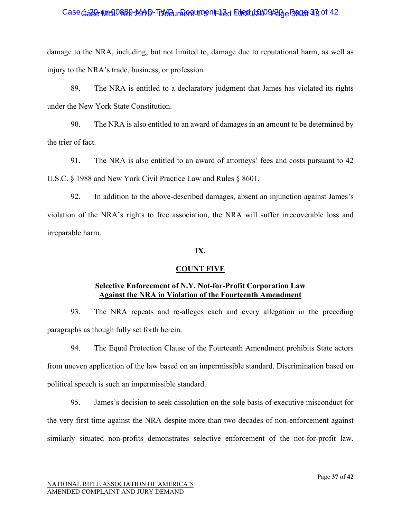## Case dase WIDORB9-MAD-TUW Dun Panturrent 12d File 2012/09/200 Pager 23 of 42

damage to the NRA, including, but not limited to, damage due to reputational harm, as well as injury to the NRA's trade, business, or profession.

89. The NRA is entitled to a declaratory judgment that James has violated its rights under the New York State Constitution.

90. The NRA is also entitled to an award of damages in an amount to be determined by the trier of fact.

91. The NRA is also entitled to an award of attorneys' fees and costs pursuant to 42 U.S.C. § 1988 and New York Civil Practice Law and Rules § 8601.

92. In addition to the above-described damages, absent an injunction against James's violation of the NRA's rights to free association, the NRA will suffer irrecoverable loss and irreparable harm.

#### **IX.**

#### **COUNT FIVE**

#### **Selective Enforcement of N.Y. Not-for-Profit Corporation Law Against the NRA in Violation of the Fourteenth Amendment**

93. The NRA repeats and re-alleges each and every allegation in the preceding paragraphs as though fully set forth herein.

94. The Equal Protection Clause of the Fourteenth Amendment prohibits State actors from uneven application of the law based on an impermissible standard. Discrimination based on political speech is such an impermissible standard.

95. James's decision to seek dissolution on the sole basis of executive misconduct for the very first time against the NRA despite more than two decades of non-enforcement against similarly situated non-profits demonstrates selective enforcement of the not-for-profit law.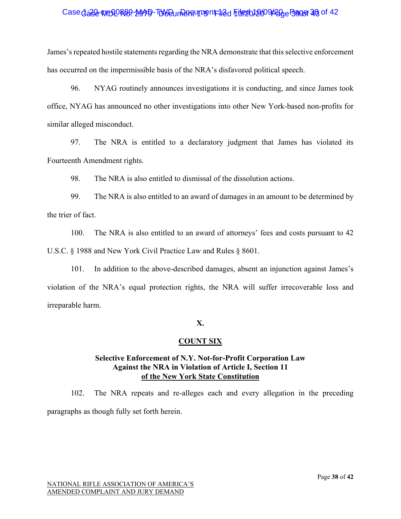## Case dase WIDORB9-MAD-TUW Dun Panturrent 12d File 2012/09/200 Pager 28 of 42

James's repeated hostile statements regarding the NRA demonstrate that this selective enforcement has occurred on the impermissible basis of the NRA's disfavored political speech.

96. NYAG routinely announces investigations it is conducting, and since James took office, NYAG has announced no other investigations into other New York-based non-profits for similar alleged misconduct.

97. The NRA is entitled to a declaratory judgment that James has violated its Fourteenth Amendment rights.

98. The NRA is also entitled to dismissal of the dissolution actions.

99. The NRA is also entitled to an award of damages in an amount to be determined by the trier of fact.

100. The NRA is also entitled to an award of attorneys' fees and costs pursuant to 42 U.S.C. § 1988 and New York Civil Practice Law and Rules § 8601.

101. In addition to the above-described damages, absent an injunction against James's violation of the NRA's equal protection rights, the NRA will suffer irrecoverable loss and irreparable harm.

# **X.**

# **COUNT SIX**

## **Selective Enforcement of N.Y. Not-for-Profit Corporation Law Against the NRA in Violation of Article I, Section 11 of the New York State Constitution**

102. The NRA repeats and re-alleges each and every allegation in the preceding paragraphs as though fully set forth herein.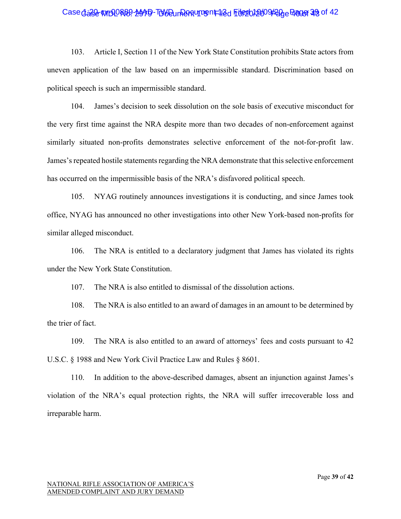## Case dase WIDORB9-MAD-TUW Dun Panturg nt 12d File 2012/09/200 Page 39 of 42

103. Article I, Section 11 of the New York State Constitution prohibits State actors from uneven application of the law based on an impermissible standard. Discrimination based on political speech is such an impermissible standard.

104. James's decision to seek dissolution on the sole basis of executive misconduct for the very first time against the NRA despite more than two decades of non-enforcement against similarly situated non-profits demonstrates selective enforcement of the not-for-profit law. James's repeated hostile statements regarding the NRA demonstrate that this selective enforcement has occurred on the impermissible basis of the NRA's disfavored political speech.

105. NYAG routinely announces investigations it is conducting, and since James took office, NYAG has announced no other investigations into other New York-based non-profits for similar alleged misconduct.

106. The NRA is entitled to a declaratory judgment that James has violated its rights under the New York State Constitution.

107. The NRA is also entitled to dismissal of the dissolution actions.

108. The NRA is also entitled to an award of damages in an amount to be determined by the trier of fact.

109. The NRA is also entitled to an award of attorneys' fees and costs pursuant to 42 U.S.C. § 1988 and New York Civil Practice Law and Rules § 8601.

110. In addition to the above-described damages, absent an injunction against James's violation of the NRA's equal protection rights, the NRA will suffer irrecoverable loss and irreparable harm.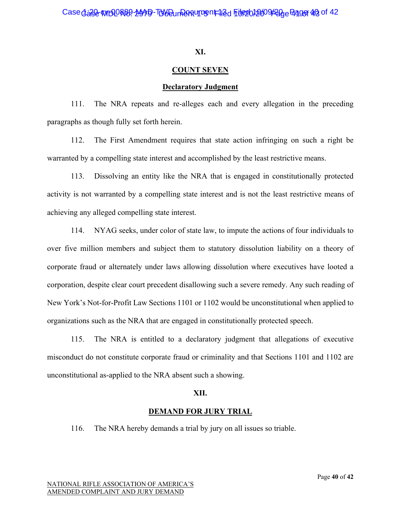#### **XI.**

#### **COUNT SEVEN**

#### **Declaratory Judgment**

111. The NRA repeats and re-alleges each and every allegation in the preceding paragraphs as though fully set forth herein.

112. The First Amendment requires that state action infringing on such a right be warranted by a compelling state interest and accomplished by the least restrictive means.

113. Dissolving an entity like the NRA that is engaged in constitutionally protected activity is not warranted by a compelling state interest and is not the least restrictive means of achieving any alleged compelling state interest.

114. NYAG seeks, under color of state law, to impute the actions of four individuals to over five million members and subject them to statutory dissolution liability on a theory of corporate fraud or alternately under laws allowing dissolution where executives have looted a corporation, despite clear court precedent disallowing such a severe remedy. Any such reading of New York's Not-for-Profit Law Sections 1101 or 1102 would be unconstitutional when applied to organizations such as the NRA that are engaged in constitutionally protected speech.

115. The NRA is entitled to a declaratory judgment that allegations of executive misconduct do not constitute corporate fraud or criminality and that Sections 1101 and 1102 are unconstitutional as-applied to the NRA absent such a showing.

#### **XII.**

#### **DEMAND FOR JURY TRIAL**

116. The NRA hereby demands a trial by jury on all issues so triable.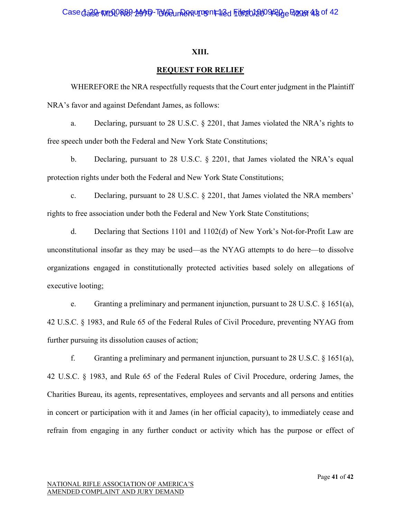#### **XIII.**

#### **REQUEST FOR RELIEF**

WHEREFORE the NRA respectfully requests that the Court enter judgment in the Plaintiff NRA's favor and against Defendant James, as follows:

a. Declaring, pursuant to 28 U.S.C. § 2201, that James violated the NRA's rights to free speech under both the Federal and New York State Constitutions;

b. Declaring, pursuant to 28 U.S.C. § 2201, that James violated the NRA's equal protection rights under both the Federal and New York State Constitutions;

c. Declaring, pursuant to 28 U.S.C. § 2201, that James violated the NRA members' rights to free association under both the Federal and New York State Constitutions;

d. Declaring that Sections 1101 and 1102(d) of New York's Not-for-Profit Law are unconstitutional insofar as they may be used—as the NYAG attempts to do here—to dissolve organizations engaged in constitutionally protected activities based solely on allegations of executive looting;

e. Granting a preliminary and permanent injunction, pursuant to 28 U.S.C. § 1651(a), 42 U.S.C. § 1983, and Rule 65 of the Federal Rules of Civil Procedure, preventing NYAG from further pursuing its dissolution causes of action;

f. Granting a preliminary and permanent injunction, pursuant to 28 U.S.C.  $\S$  1651(a), 42 U.S.C. § 1983, and Rule 65 of the Federal Rules of Civil Procedure, ordering James, the Charities Bureau, its agents, representatives, employees and servants and all persons and entities in concert or participation with it and James (in her official capacity), to immediately cease and refrain from engaging in any further conduct or activity which has the purpose or effect of